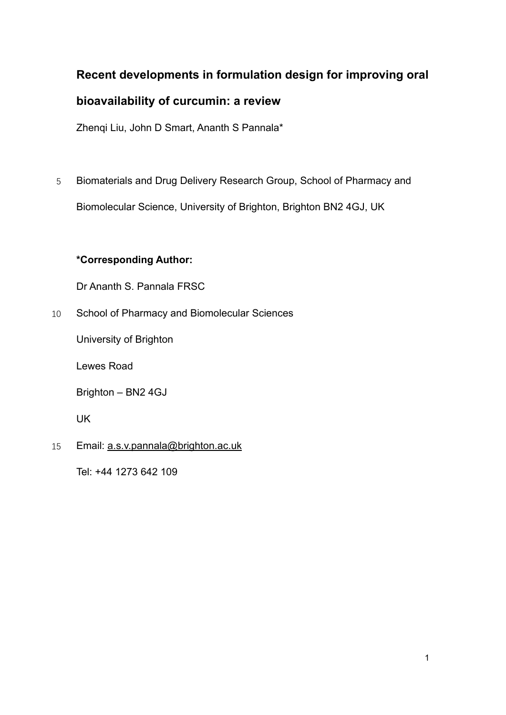## **Recent developments in formulation design for improving oral**

## **bioavailability of curcumin: a review**

Zhenqi Liu, John D Smart, Ananth S Pannala\*

5 Biomaterials and Drug Delivery Research Group, School of Pharmacy and Biomolecular Science, University of Brighton, Brighton BN2 4GJ, UK

## **\*Corresponding Author:**

Dr Ananth S. Pannala FRSC

10 School of Pharmacy and Biomolecular Sciences

University of Brighton

Lewes Road

Brighton – BN2 4GJ

UK

15 Email: [a.s.v.pannala@brighton.ac.uk](mailto:a.s.v.pannala@brighton.ac.uk)

Tel: +44 1273 642 109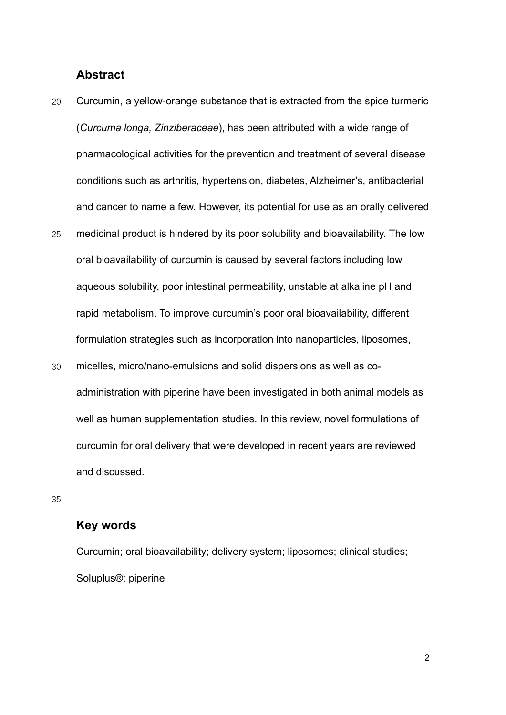### **Abstract**

- 20 Curcumin, a yellow-orange substance that is extracted from the spice turmeric (*Curcuma longa, Zinziberaceae*), has been attributed with a wide range of pharmacological activities for the prevention and treatment of several disease conditions such as arthritis, hypertension, diabetes, Alzheimer's, antibacterial and cancer to name a few. However, its potential for use as an orally delivered
- 25 medicinal product is hindered by its poor solubility and bioavailability. The low oral bioavailability of curcumin is caused by several factors including low aqueous solubility, poor intestinal permeability, unstable at alkaline pH and rapid metabolism. To improve curcumin's poor oral bioavailability, different formulation strategies such as incorporation into nanoparticles, liposomes,
- 30 micelles, micro/nano-emulsions and solid dispersions as well as coadministration with piperine have been investigated in both animal models as well as human supplementation studies. In this review, novel formulations of curcumin for oral delivery that were developed in recent years are reviewed and discussed.

35

## **Key words**

Curcumin; oral bioavailability; delivery system; liposomes; clinical studies; Soluplus®; piperine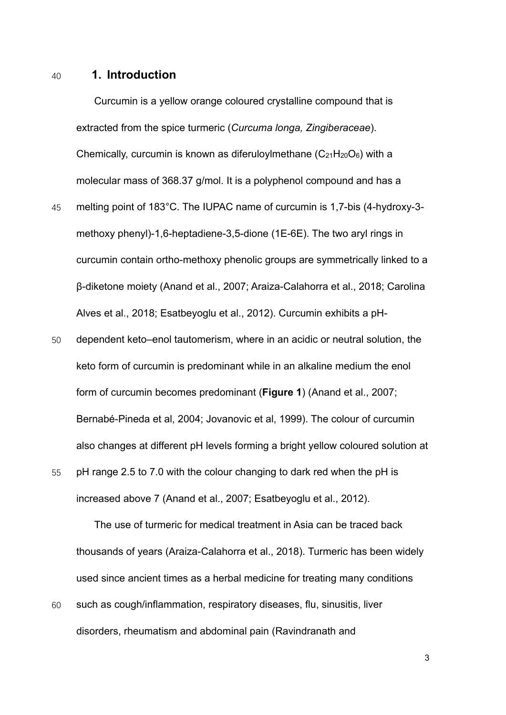#### 40 **1. Introduction**

Curcumin is a yellow orange coloured crystalline compound that is extracted from the spice turmeric (*Curcuma longa, Zingiberaceae*). Chemically, curcumin is known as diferuloylmethane  $(C_{21}H_{20}O_6)$  with a molecular mass of 368.37 g/mol. It is a polyphenol compound and has a

- 45 melting point of 183°C. The IUPAC name of curcumin is 1,7-bis (4-hydroxy-3 methoxy phenyl)-1,6-heptadiene-3,5-dione (1E-6E). The two aryl rings in curcumin contain ortho-methoxy phenolic groups are symmetrically linked to a β-diketone moiety (Anand et al., 2007; Araiza-Calahorra et al., 2018; Carolina Alves et al., 2018; Esatbeyoglu et al., 2012). Curcumin exhibits a pH-
- 50 dependent keto–enol tautomerism, where in an acidic or neutral solution, the keto form of curcumin is predominant while in an alkaline medium the enol form of curcumin becomes predominant (**Figure 1**) (Anand et al., 2007; Bernabé-Pineda et al, 2004; Jovanovic et al, 1999). The colour of curcumin also changes at different pH levels forming a bright yellow coloured solution at
- 55 pH range 2.5 to 7.0 with the colour changing to dark red when the pH is increased above 7 (Anand et al., 2007; Esatbeyoglu et al., 2012).

The use of turmeric for medical treatment in Asia can be traced back thousands of years (Araiza-Calahorra et al., 2018). Turmeric has been widely used since ancient times as a herbal medicine for treating many conditions

60 such as cough/inflammation, respiratory diseases, flu, sinusitis, liver disorders, rheumatism and abdominal pain (Ravindranath and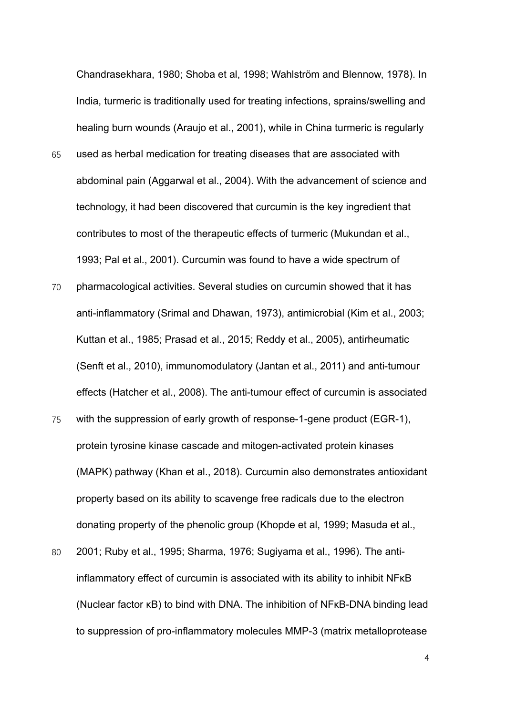Chandrasekhara, 1980; Shoba et al, 1998; Wahlström and Blennow, 1978). In India, turmeric is traditionally used for treating infections, sprains/swelling and healing burn wounds (Araujo et al., 2001), while in China turmeric is regularly

- 65 used as herbal medication for treating diseases that are associated with abdominal pain (Aggarwal et al., 2004). With the advancement of science and technology, it had been discovered that curcumin is the key ingredient that contributes to most of the therapeutic effects of turmeric (Mukundan et al., 1993; Pal et al., 2001). Curcumin was found to have a wide spectrum of
- 70 pharmacological activities. Several studies on curcumin showed that it has anti-inflammatory (Srimal and Dhawan, 1973), antimicrobial (Kim et al., 2003; Kuttan et al., 1985; Prasad et al., 2015; Reddy et al., 2005), antirheumatic (Senft et al., 2010), immunomodulatory (Jantan et al., 2011) and anti-tumour effects (Hatcher et al., 2008). The anti-tumour effect of curcumin is associated
- 75 with the suppression of early growth of response-1-gene product (EGR-1), protein tyrosine kinase cascade and mitogen-activated protein kinases (MAPK) pathway (Khan et al., 2018). Curcumin also demonstrates antioxidant property based on its ability to scavenge free radicals due to the electron donating property of the phenolic group (Khopde et al, 1999; Masuda et al.,
- 80 2001; Ruby et al., 1995; Sharma, 1976; Sugiyama et al., 1996). The antiinflammatory effect of curcumin is associated with its ability to inhibit NFκB (Nuclear factor κB) to bind with DNA. The inhibition of NFκB-DNA binding lead to suppression of pro-inflammatory molecules MMP-3 (matrix metalloprotease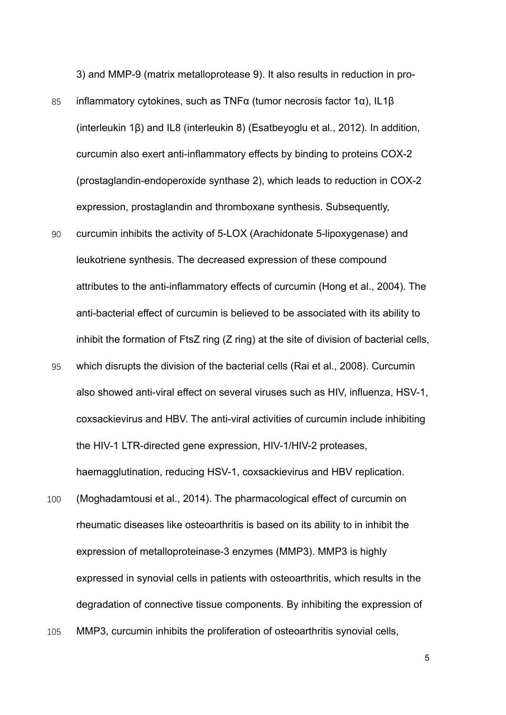3) and MMP-9 (matrix metalloprotease 9). It also results in reduction in pro-

- 85 inflammatory cytokines, such as TNFα (tumor necrosis factor 1α), IL1β (interleukin 1β) and IL8 (interleukin 8) (Esatbeyoglu et al., 2012). In addition, curcumin also exert anti-inflammatory effects by binding to proteins COX-2 (prostaglandin-endoperoxide synthase 2), which leads to reduction in COX-2 expression, prostaglandin and thromboxane synthesis. Subsequently,
- 90 curcumin inhibits the activity of 5-LOX (Arachidonate 5-lipoxygenase) and leukotriene synthesis. The decreased expression of these compound attributes to the anti-inflammatory effects of curcumin (Hong et al., 2004). The anti-bacterial effect of curcumin is believed to be associated with its ability to inhibit the formation of FtsZ ring (Z ring) at the site of division of bacterial cells,
- 95 which disrupts the division of the bacterial cells (Rai et al., 2008). Curcumin also showed anti-viral effect on several viruses such as HIV, influenza, HSV-1, coxsackievirus and HBV. The anti-viral activities of curcumin include inhibiting the HIV-1 LTR-directed gene expression, HIV-1/HIV-2 proteases, haemagglutination, reducing HSV-1, coxsackievirus and HBV replication.
- 100 (Moghadamtousi et al., 2014). The pharmacological effect of curcumin on rheumatic diseases like osteoarthritis is based on its ability to in inhibit the expression of metalloproteinase-3 enzymes (MMP3). MMP3 is highly expressed in synovial cells in patients with osteoarthritis, which results in the degradation of connective tissue components. By inhibiting the expression of
- 105 MMP3, curcumin inhibits the proliferation of osteoarthritis synovial cells,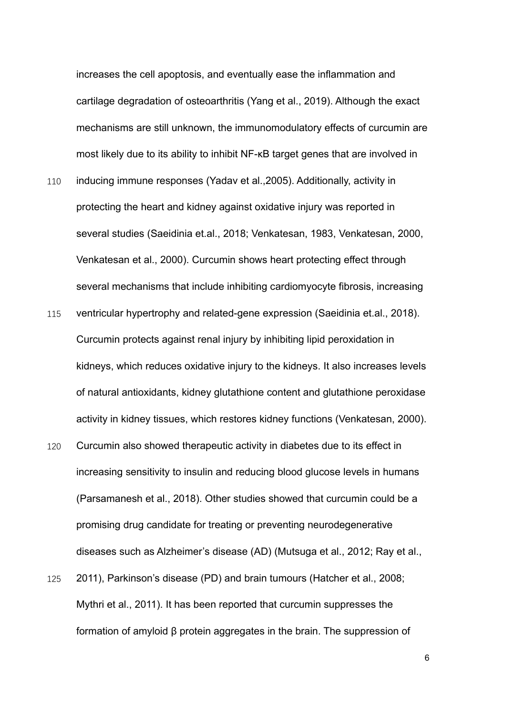increases the cell apoptosis, and eventually ease the inflammation and cartilage degradation of osteoarthritis (Yang et al., 2019). Although the exact mechanisms are still unknown, the immunomodulatory effects of curcumin are most likely due to its ability to inhibit NF-κB target genes that are involved in

- 110 inducing immune responses (Yadav et al.,2005). Additionally, activity in protecting the heart and kidney against oxidative injury was reported in several studies (Saeidinia et.al., 2018; Venkatesan, 1983, Venkatesan, 2000, Venkatesan et al., 2000). Curcumin shows heart protecting effect through several mechanisms that include inhibiting cardiomyocyte fibrosis, increasing
- 115 ventricular hypertrophy and related-gene expression (Saeidinia et.al., 2018). Curcumin protects against renal injury by inhibiting lipid peroxidation in kidneys, which reduces oxidative injury to the kidneys. It also increases levels of natural antioxidants, kidney glutathione content and glutathione peroxidase activity in kidney tissues, which restores kidney functions (Venkatesan, 2000).
- 120 Curcumin also showed therapeutic activity in diabetes due to its effect in increasing sensitivity to insulin and reducing blood glucose levels in humans (Parsamanesh et al., 2018). Other studies showed that curcumin could be a promising drug candidate for treating or preventing neurodegenerative diseases such as Alzheimer's disease (AD) (Mutsuga et al., 2012; Ray et al.,
- 125 2011), Parkinson's disease (PD) and brain tumours (Hatcher et al., 2008; Mythri et al., 2011). It has been reported that curcumin suppresses the formation of amyloid β protein aggregates in the brain. The suppression of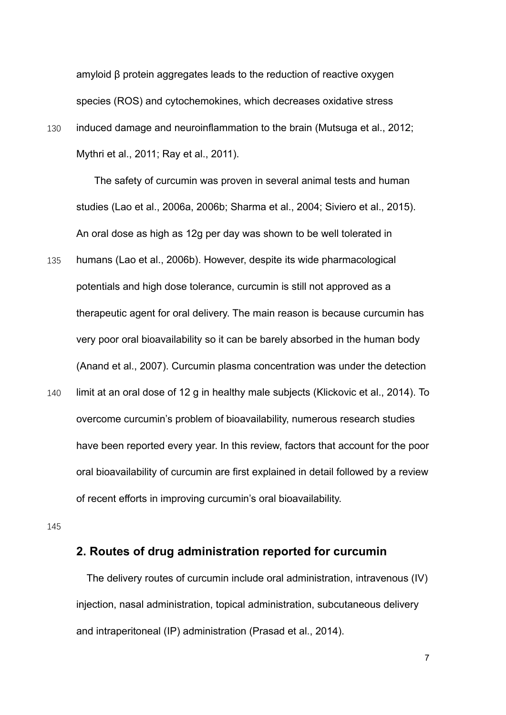amyloid β protein aggregates leads to the reduction of reactive oxygen species (ROS) and cytochemokines, which decreases oxidative stress

130 induced damage and neuroinflammation to the brain (Mutsuga et al., 2012; Mythri et al., 2011; Ray et al., 2011).

The safety of curcumin was proven in several animal tests and human studies (Lao et al., 2006a, 2006b; Sharma et al., 2004; Siviero et al., 2015). An oral dose as high as 12g per day was shown to be well tolerated in

- 135 humans (Lao et al., 2006b). However, despite its wide pharmacological potentials and high dose tolerance, curcumin is still not approved as a therapeutic agent for oral delivery. The main reason is because curcumin has very poor oral bioavailability so it can be barely absorbed in the human body (Anand et al., 2007). Curcumin plasma concentration was under the detection
- 140 limit at an oral dose of 12 g in healthy male subjects (Klickovic et al., 2014). To overcome curcumin's problem of bioavailability, numerous research studies have been reported every year. In this review, factors that account for the poor oral bioavailability of curcumin are first explained in detail followed by a review of recent efforts in improving curcumin's oral bioavailability.

145

#### **2. Routes of drug administration reported for curcumin**

The delivery routes of curcumin include oral administration, intravenous (IV) injection, nasal administration, topical administration, subcutaneous delivery and intraperitoneal (IP) administration (Prasad et al., 2014).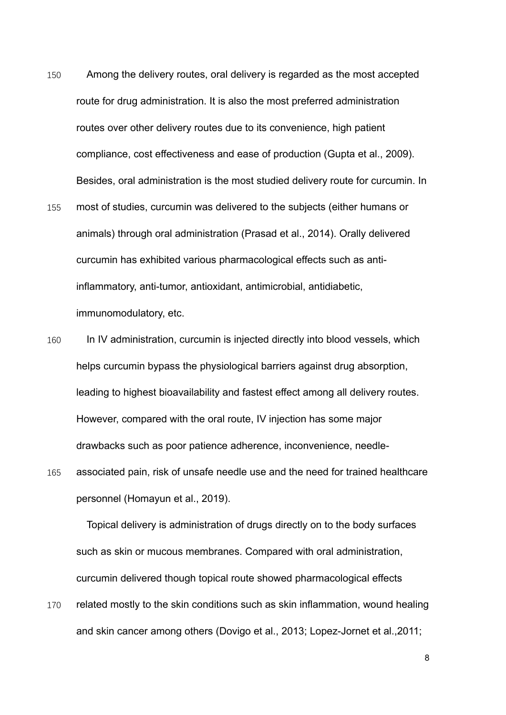- 150 Among the delivery routes, oral delivery is regarded as the most accepted route for drug administration. It is also the most preferred administration routes over other delivery routes due to its convenience, high patient compliance, cost effectiveness and ease of production (Gupta et al., 2009). Besides, oral administration is the most studied delivery route for curcumin. In
- 155 most of studies, curcumin was delivered to the subjects (either humans or animals) through oral administration (Prasad et al., 2014). Orally delivered curcumin has exhibited various pharmacological effects such as antiinflammatory, anti-tumor, antioxidant, antimicrobial, antidiabetic, immunomodulatory, etc.
- 160 In IV administration, curcumin is injected directly into blood vessels, which helps curcumin bypass the physiological barriers against drug absorption, leading to highest bioavailability and fastest effect among all delivery routes. However, compared with the oral route, IV injection has some major drawbacks such as poor patience adherence, inconvenience, needle-
- 165 associated pain, risk of unsafe needle use and the need for trained healthcare personnel (Homayun et al., 2019).

Topical delivery is administration of drugs directly on to the body surfaces such as skin or mucous membranes. Compared with oral administration, curcumin delivered though topical route showed pharmacological effects

170 related mostly to the skin conditions such as skin inflammation, wound healing and skin cancer among others (Dovigo et al., 2013; Lopez-Jornet et al.,2011;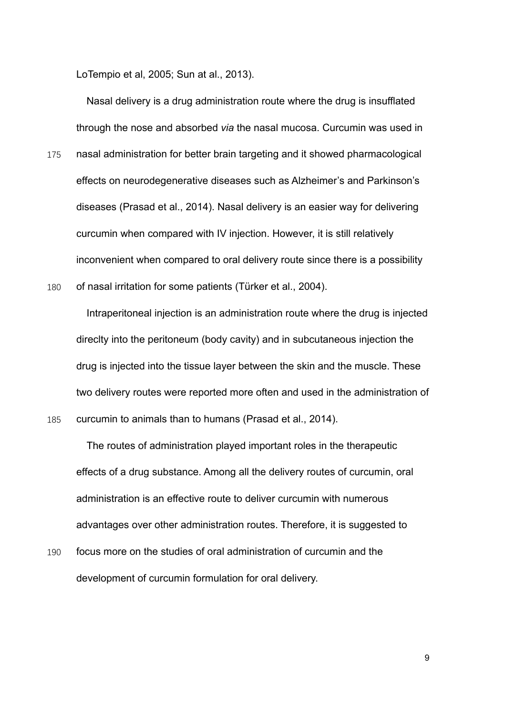LoTempio et al, 2005; Sun at al., 2013).

Nasal delivery is a drug administration route where the drug is insufflated through the nose and absorbed *via* the nasal mucosa. Curcumin was used in

- 175 nasal administration for better brain targeting and it showed pharmacological effects on neurodegenerative diseases such as Alzheimer's and Parkinson's diseases (Prasad et al., 2014). Nasal delivery is an easier way for delivering curcumin when compared with IV injection. However, it is still relatively inconvenient when compared to oral delivery route since there is a possibility
- 180 of nasal irritation for some patients (Türker et al., 2004).

Intraperitoneal injection is an administration route where the drug is injected direclty into the peritoneum (body cavity) and in subcutaneous injection the drug is injected into the tissue layer between the skin and the muscle. These two delivery routes were reported more often and used in the administration of 185 curcumin to animals than to humans (Prasad et al., 2014).

The routes of administration played important roles in the therapeutic effects of a drug substance. Among all the delivery routes of curcumin, oral administration is an effective route to deliver curcumin with numerous advantages over other administration routes. Therefore, it is suggested to

190 focus more on the studies of oral administration of curcumin and the development of curcumin formulation for oral delivery.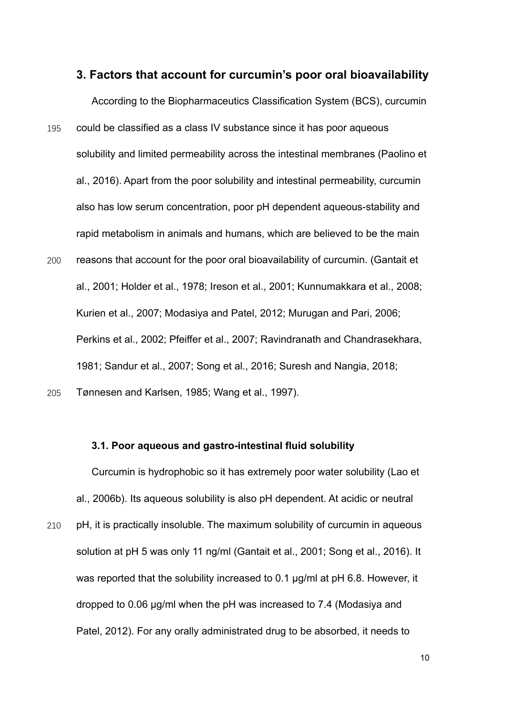#### **3. Factors that account for curcumin's poor oral bioavailability**

According to the Biopharmaceutics Classification System (BCS), curcumin 195 could be classified as a class IV substance since it has poor aqueous solubility and limited permeability across the intestinal membranes (Paolino et al., 2016). Apart from the poor solubility and intestinal permeability, curcumin also has low serum concentration, poor pH dependent aqueous-stability and rapid metabolism in animals and humans, which are believed to be the main 200 reasons that account for the poor oral bioavailability of curcumin. (Gantait et al., 2001; Holder et al., 1978; Ireson et al., 2001; Kunnumakkara et al., 2008; Kurien et al., 2007; Modasiya and Patel, 2012; Murugan and Pari, 2006; Perkins et al., 2002; Pfeiffer et al., 2007; Ravindranath and Chandrasekhara, 1981; Sandur et al., 2007; Song et al., 2016; Suresh and Nangia, 2018;

205 Tønnesen and Karlsen, 1985; Wang et al., 1997).

#### **3.1. Poor aqueous and gastro-intestinal fluid solubility**

Curcumin is hydrophobic so it has extremely poor water solubility (Lao et al., 2006b). Its aqueous solubility is also pH dependent. At acidic or neutral

210 pH, it is practically insoluble. The maximum solubility of curcumin in aqueous solution at pH 5 was only 11 ng/ml (Gantait et al., 2001; Song et al., 2016). It was reported that the solubility increased to 0.1 µg/ml at pH 6.8. However, it dropped to 0.06 µg/ml when the pH was increased to 7.4 (Modasiya and Patel, 2012). For any orally administrated drug to be absorbed, it needs to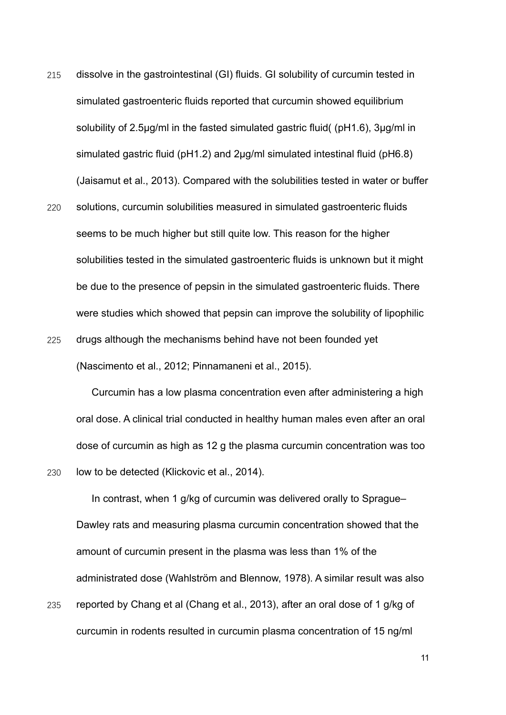- 215 dissolve in the gastrointestinal (GI) fluids. GI solubility of curcumin tested in simulated gastroenteric fluids reported that curcumin showed equilibrium solubility of 2.5μg/ml in the fasted simulated gastric fluid( (pH1.6), 3μg/ml in simulated gastric fluid (pH1.2) and 2μg/ml simulated intestinal fluid (pH6.8) (Jaisamut et al., 2013). Compared with the solubilities tested in water or buffer
- 220 solutions, curcumin solubilities measured in simulated gastroenteric fluids seems to be much higher but still quite low. This reason for the higher solubilities tested in the simulated gastroenteric fluids is unknown but it might be due to the presence of pepsin in the simulated gastroenteric fluids. There were studies which showed that pepsin can improve the solubility of lipophilic 225 drugs although the mechanisms behind have not been founded yet

(Nascimento et al., 2012; Pinnamaneni et al., 2015).

Curcumin has a low plasma concentration even after administering a high oral dose. A clinical trial conducted in healthy human males even after an oral dose of curcumin as high as 12 g the plasma curcumin concentration was too 230 low to be detected (Klickovic et al., 2014).

In contrast, when 1 g/kg of curcumin was delivered orally to Sprague– Dawley rats and measuring plasma curcumin concentration showed that the amount of curcumin present in the plasma was less than 1% of the administrated dose (Wahlström and Blennow, 1978). A similar result was also 235 reported by Chang et al (Chang et al., 2013), after an oral dose of 1 g/kg of

curcumin in rodents resulted in curcumin plasma concentration of 15 ng/ml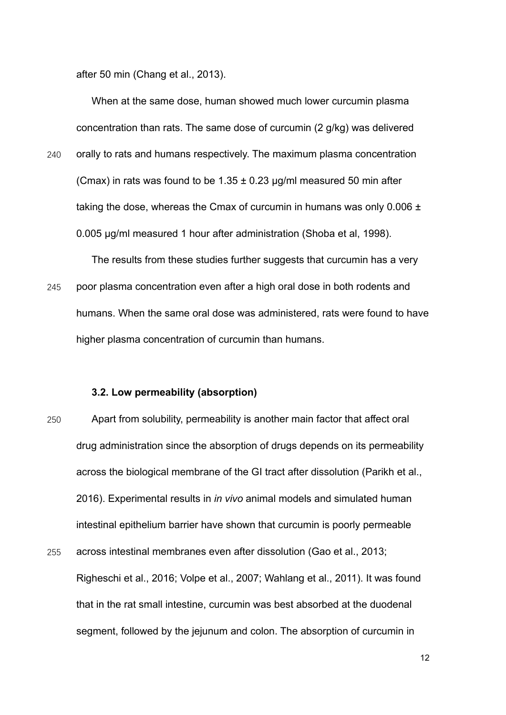after 50 min (Chang et al., 2013).

When at the same dose, human showed much lower curcumin plasma concentration than rats. The same dose of curcumin (2 g/kg) was delivered

240 orally to rats and humans respectively. The maximum plasma concentration (Cmax) in rats was found to be  $1.35 \pm 0.23$  µg/ml measured 50 min after taking the dose, whereas the Cmax of curcumin in humans was only  $0.006 \pm$ 0.005 μg/ml measured 1 hour after administration (Shoba et al, 1998).

The results from these studies further suggests that curcumin has a very 245 poor plasma concentration even after a high oral dose in both rodents and humans. When the same oral dose was administered, rats were found to have higher plasma concentration of curcumin than humans.

#### **3.2. Low permeability (absorption)**

- 250 Apart from solubility, permeability is another main factor that affect oral drug administration since the absorption of drugs depends on its permeability across the biological membrane of the GI tract after dissolution (Parikh et al., 2016). Experimental results in *in vivo* animal models and simulated human intestinal epithelium barrier have shown that curcumin is poorly permeable
- 255 across intestinal membranes even after dissolution (Gao et al., 2013; Righeschi et al., 2016; Volpe et al., 2007; Wahlang et al., 2011). It was found that in the rat small intestine, curcumin was best absorbed at the duodenal segment, followed by the jejunum and colon. The absorption of curcumin in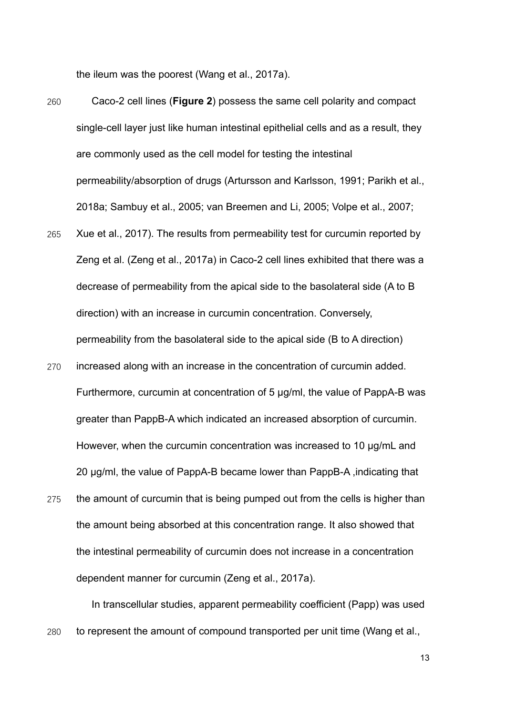the ileum was the poorest (Wang et al., 2017a).

- 260 Caco-2 cell lines (**Figure 2**) possess the same cell polarity and compact single-cell layer just like human intestinal epithelial cells and as a result, they are commonly used as the cell model for testing the intestinal permeability/absorption of drugs (Artursson and Karlsson, 1991; Parikh et al., 2018a; Sambuy et al., 2005; van Breemen and Li, 2005; Volpe et al., 2007;
- 265 Xue et al., 2017). The results from permeability test for curcumin reported by Zeng et al. (Zeng et al., 2017a) in Caco-2 cell lines exhibited that there was a decrease of permeability from the apical side to the basolateral side (A to B direction) with an increase in curcumin concentration. Conversely, permeability from the basolateral side to the apical side (B to A direction)
- 270 increased along with an increase in the concentration of curcumin added. Furthermore, curcumin at concentration of 5 µg/ml, the value of PappA-B was greater than PappB-A which indicated an increased absorption of curcumin. However, when the curcumin concentration was increased to 10 µg/mL and 20 µg/ml, the value of PappA-B became lower than PappB-A ,indicating that
- 275 the amount of curcumin that is being pumped out from the cells is higher than the amount being absorbed at this concentration range. It also showed that the intestinal permeability of curcumin does not increase in a concentration dependent manner for curcumin (Zeng et al., 2017a).

In transcellular studies, apparent permeability coefficient (Papp) was used 280 to represent the amount of compound transported per unit time (Wang et al.,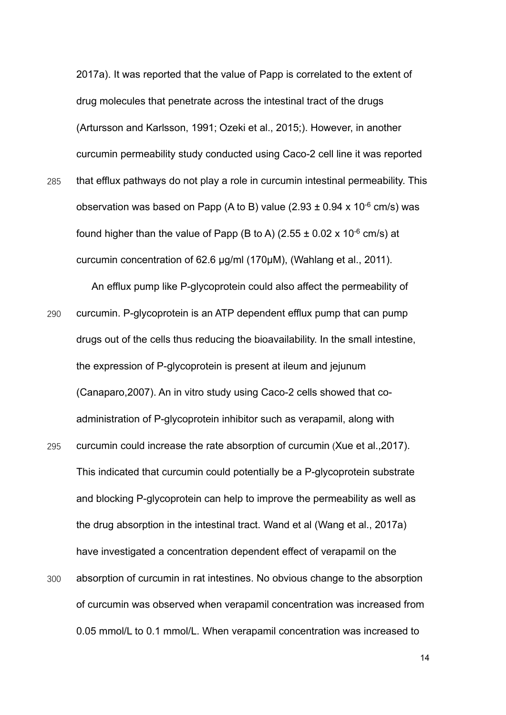2017a). It was reported that the value of Papp is correlated to the extent of drug molecules that penetrate across the intestinal tract of the drugs (Artursson and Karlsson, 1991; Ozeki et al., 2015;). However, in another curcumin permeability study conducted using Caco-2 cell line it was reported 285 that efflux pathways do not play a role in curcumin intestinal permeability. This observation was based on Papp (A to B) value (2.93  $\pm$  0.94 x 10<sup>-6</sup> cm/s) was found higher than the value of Papp (B to A) (2.55  $\pm$  0.02 x 10<sup>-6</sup> cm/s) at curcumin concentration of 62.6 µg/ml (170µM), (Wahlang et al., 2011).

An efflux pump like P-glycoprotein could also affect the permeability of 290 curcumin. P-glycoprotein is an ATP dependent efflux pump that can pump drugs out of the cells thus reducing the bioavailability. In the small intestine, the expression of P-glycoprotein is present at ileum and jejunum (Canaparo,2007). An in vitro study using Caco-2 cells showed that coadministration of P-glycoprotein inhibitor such as verapamil, along with

295 curcumin could increase the rate absorption of curcumin (Xue et al.,2017). This indicated that curcumin could potentially be a P-glycoprotein substrate and blocking P-glycoprotein can help to improve the permeability as well as the drug absorption in the intestinal tract. Wand et al (Wang et al., 2017a) have investigated a concentration dependent effect of verapamil on the 300 absorption of curcumin in rat intestines. No obvious change to the absorption of curcumin was observed when verapamil concentration was increased from

0.05 mmol/L to 0.1 mmol/L. When verapamil concentration was increased to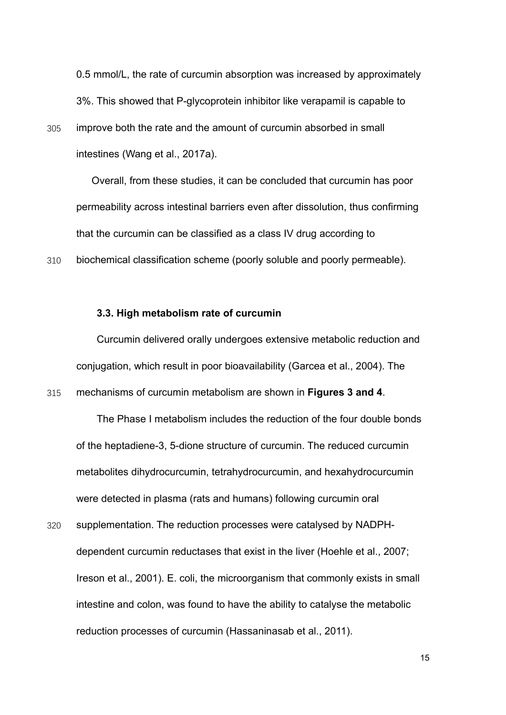0.5 mmol/L, the rate of curcumin absorption was increased by approximately 3%. This showed that P-glycoprotein inhibitor like verapamil is capable to 305 improve both the rate and the amount of curcumin absorbed in small intestines (Wang et al., 2017a).

Overall, from these studies, it can be concluded that curcumin has poor permeability across intestinal barriers even after dissolution, thus confirming that the curcumin can be classified as a class IV drug according to 310 biochemical classification scheme (poorly soluble and poorly permeable).

#### **3.3. High metabolism rate of curcumin**

Curcumin delivered orally undergoes extensive metabolic reduction and conjugation, which result in poor bioavailability (Garcea et al., 2004). The

315 mechanisms of curcumin metabolism are shown in **Figures 3 and 4**.

The Phase I metabolism includes the reduction of the four double bonds of the heptadiene-3, 5-dione structure of curcumin. The reduced curcumin metabolites dihydrocurcumin, tetrahydrocurcumin, and hexahydrocurcumin were detected in plasma (rats and humans) following curcumin oral

320 supplementation. The reduction processes were catalysed by NADPHdependent curcumin reductases that exist in the liver (Hoehle et al., 2007; Ireson et al., 2001). E. coli, the microorganism that commonly exists in small intestine and colon, was found to have the ability to catalyse the metabolic reduction processes of curcumin (Hassaninasab et al., 2011).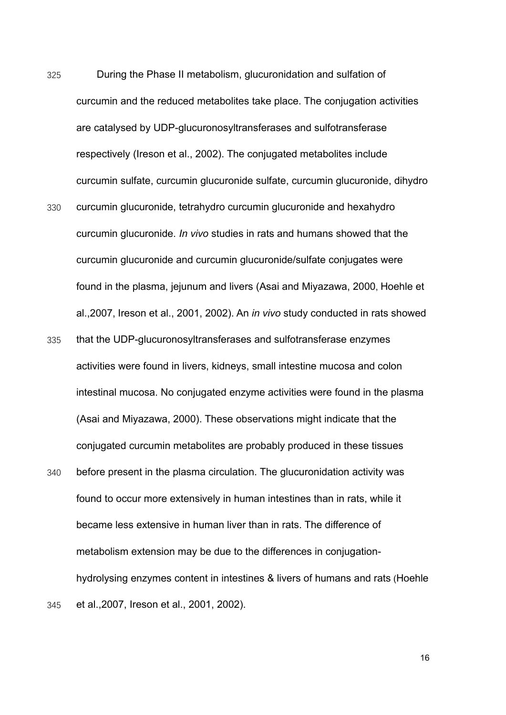- 325 During the Phase II metabolism, glucuronidation and sulfation of curcumin and the reduced metabolites take place. The conjugation activities are catalysed by UDP-glucuronosyltransferases and sulfotransferase respectively (Ireson et al., 2002). The conjugated metabolites include curcumin sulfate, curcumin glucuronide sulfate, curcumin glucuronide, dihydro
- 330 curcumin glucuronide, tetrahydro curcumin glucuronide and hexahydro curcumin glucuronide. *In vivo* studies in rats and humans showed that the curcumin glucuronide and curcumin glucuronide/sulfate conjugates were found in the plasma, jejunum and livers (Asai and Miyazawa, 2000, Hoehle et al.,2007, Ireson et al., 2001, 2002). An *in vivo* study conducted in rats showed
- 335 that the UDP-glucuronosyltransferases and sulfotransferase enzymes activities were found in livers, kidneys, small intestine mucosa and colon intestinal mucosa. No conjugated enzyme activities were found in the plasma (Asai and Miyazawa, 2000). These observations might indicate that the conjugated curcumin metabolites are probably produced in these tissues
- 340 before present in the plasma circulation. The glucuronidation activity was found to occur more extensively in human intestines than in rats, while it became less extensive in human liver than in rats. The difference of metabolism extension may be due to the differences in conjugationhydrolysing enzymes content in intestines & livers of humans and rats (Hoehle 345 et al.,2007, Ireson et al., 2001, 2002).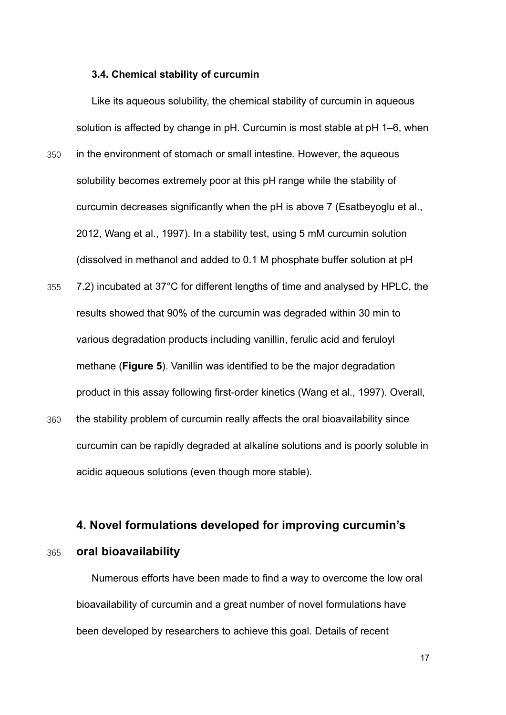#### **3.4. Chemical stability of curcumin**

Like its aqueous solubility, the chemical stability of curcumin in aqueous solution is affected by change in pH. Curcumin is most stable at pH 1–6, when

- 350 in the environment of stomach or small intestine. However, the aqueous solubility becomes extremely poor at this pH range while the stability of curcumin decreases significantly when the pH is above 7 (Esatbeyoglu et al., 2012, Wang et al., 1997). In a stability test, using 5 mM curcumin solution (dissolved in methanol and added to 0.1 M phosphate buffer solution at pH
- 355 7.2) incubated at 37°C for different lengths of time and analysed by HPLC, the results showed that 90% of the curcumin was degraded within 30 min to various degradation products including vanillin, ferulic acid and feruloyl methane (**Figure 5**). Vanillin was identified to be the major degradation product in this assay following first-order kinetics (Wang et al., 1997). Overall,
- 360 the stability problem of curcumin really affects the oral bioavailability since curcumin can be rapidly degraded at alkaline solutions and is poorly soluble in acidic aqueous solutions (even though more stable).

# **4. Novel formulations developed for improving curcumin's**

#### 365 **oral bioavailability**

Numerous efforts have been made to find a way to overcome the low oral bioavailability of curcumin and a great number of novel formulations have been developed by researchers to achieve this goal. Details of recent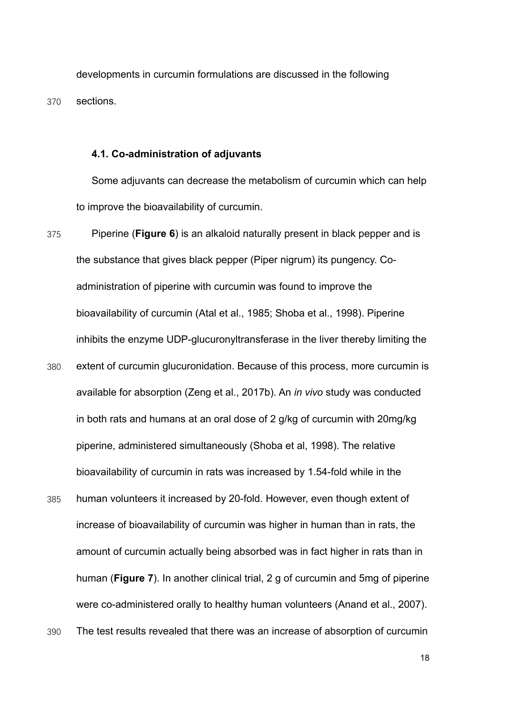developments in curcumin formulations are discussed in the following 370 sections.

#### **4.1. Co-administration of adjuvants**

Some adjuvants can decrease the metabolism of curcumin which can help to improve the bioavailability of curcumin.

- 375 Piperine (**Figure 6**) is an alkaloid naturally present in black pepper and is the substance that gives black pepper (Piper nigrum) its pungency. Coadministration of piperine with curcumin was found to improve the bioavailability of curcumin (Atal et al., 1985; Shoba et al., 1998). Piperine inhibits the enzyme UDP-glucuronyltransferase in the liver thereby limiting the 380 extent of curcumin glucuronidation. Because of this process, more curcumin is available for absorption (Zeng et al., 2017b). An *in vivo* study was conducted in both rats and humans at an oral dose of 2 g/kg of curcumin with 20mg/kg piperine, administered simultaneously (Shoba et al, 1998). The relative bioavailability of curcumin in rats was increased by 1.54-fold while in the
- 385 human volunteers it increased by 20-fold. However, even though extent of increase of bioavailability of curcumin was higher in human than in rats, the amount of curcumin actually being absorbed was in fact higher in rats than in human (**Figure 7**). In another clinical trial, 2 g of curcumin and 5mg of piperine were co-administered orally to healthy human volunteers (Anand et al., 2007).
- 390 The test results revealed that there was an increase of absorption of curcumin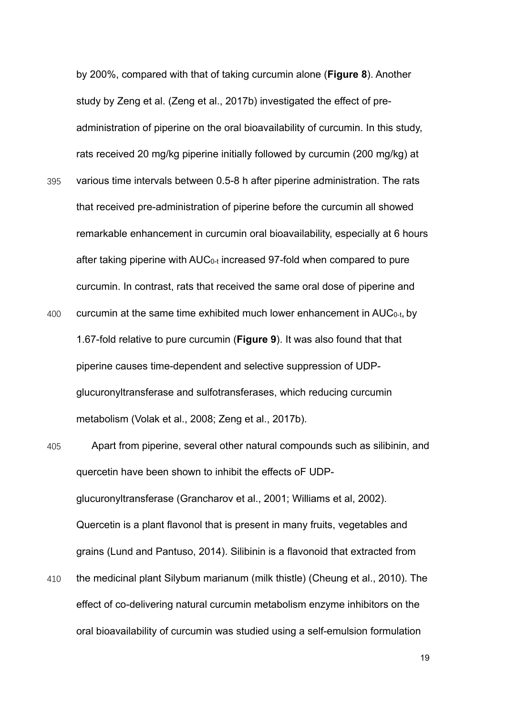by 200%, compared with that of taking curcumin alone (**Figure 8**). Another study by Zeng et al. (Zeng et al., 2017b) investigated the effect of preadministration of piperine on the oral bioavailability of curcumin. In this study, rats received 20 mg/kg piperine initially followed by curcumin (200 mg/kg) at 395 various time intervals between 0.5-8 h after piperine administration. The rats that received pre-administration of piperine before the curcumin all showed remarkable enhancement in curcumin oral bioavailability, especially at 6 hours after taking piperine with AUC0-t increased 97-fold when compared to pure curcumin. In contrast, rats that received the same oral dose of piperine and 400 curcumin at the same time exhibited much lower enhancement in  $AUC_{0-t}$ , by 1.67-fold relative to pure curcumin (**Figure 9**). It was also found that that piperine causes time-dependent and selective suppression of UDPglucuronyltransferase and sulfotransferases, which reducing curcumin metabolism (Volak et al., 2008; Zeng et al., 2017b).

- 405 Apart from piperine, several other natural compounds such as silibinin, and quercetin have been shown to inhibit the effects oF UDPglucuronyltransferase (Grancharov et al., 2001; Williams et al, 2002). Quercetin is a plant flavonol that is present in many fruits, vegetables and grains (Lund and Pantuso, 2014). Silibinin is a flavonoid that extracted from
- 410 the medicinal plant Silybum marianum (milk thistle) (Cheung et al., 2010). The effect of co-delivering natural curcumin metabolism enzyme inhibitors on the oral bioavailability of curcumin was studied using a self-emulsion formulation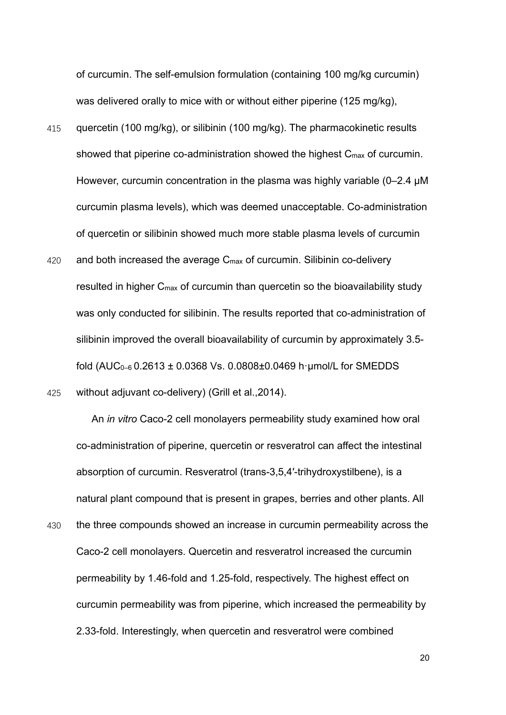of curcumin. The self-emulsion formulation (containing 100 mg/kg curcumin) was delivered orally to mice with or without either piperine (125 mg/kg),

- 415 quercetin (100 mg/kg), or silibinin (100 mg/kg). The pharmacokinetic results showed that piperine co-administration showed the highest  $C_{\text{max}}$  of curcumin. However, curcumin concentration in the plasma was highly variable (0–2.4 μM curcumin plasma levels), which was deemed unacceptable. Co-administration of quercetin or silibinin showed much more stable plasma levels of curcumin
- 420 and both increased the average C<sub>max</sub> of curcumin. Silibinin co-delivery resulted in higher  $C_{\text{max}}$  of curcumin than quercetin so the bioavailability study was only conducted for silibinin. The results reported that co-administration of silibinin improved the overall bioavailability of curcumin by approximately 3.5 fold (AUC0–6 0.2613 ± 0.0368 Vs. 0.0808±0.0469 h·μmol/L for SMEDDS 425 without adjuvant co-delivery) (Grill et al.,2014).

An *in vitro* Caco-2 cell monolayers permeability study examined how oral co-administration of piperine, quercetin or resveratrol can affect the intestinal absorption of curcumin. Resveratrol (trans-3,5,4′-trihydroxystilbene), is a natural plant compound that is present in grapes, berries and other plants. All

430 the three compounds showed an increase in curcumin permeability across the Caco-2 cell monolayers. Quercetin and resveratrol increased the curcumin permeability by 1.46-fold and 1.25-fold, respectively. The highest effect on curcumin permeability was from piperine, which increased the permeability by 2.33-fold. Interestingly, when quercetin and resveratrol were combined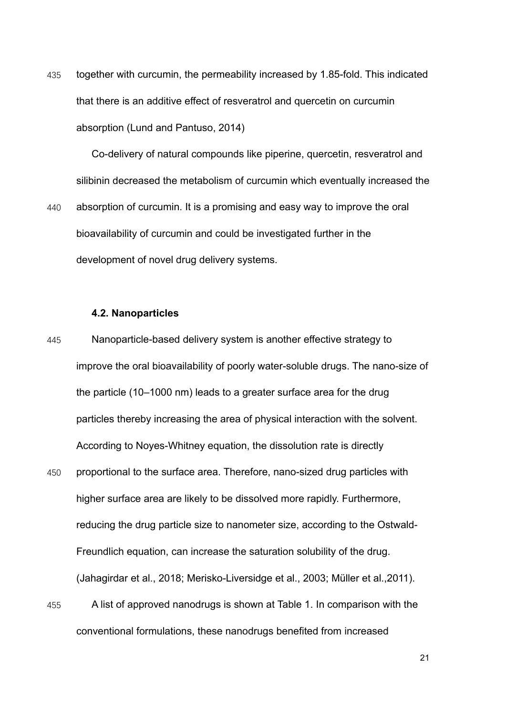435 together with curcumin, the permeability increased by 1.85-fold. This indicated that there is an additive effect of resveratrol and quercetin on curcumin absorption (Lund and Pantuso, 2014)

Co-delivery of natural compounds like piperine, quercetin, resveratrol and silibinin decreased the metabolism of curcumin which eventually increased the 440 absorption of curcumin. It is a promising and easy way to improve the oral bioavailability of curcumin and could be investigated further in the development of novel drug delivery systems.

#### **4.2. Nanoparticles**

- 445 Nanoparticle-based delivery system is another effective strategy to improve the oral bioavailability of poorly water-soluble drugs. The nano-size of the particle (10–1000 nm) leads to a greater surface area for the drug particles thereby increasing the area of physical interaction with the solvent. According to Noyes-Whitney equation, the dissolution rate is directly
- 450 proportional to the surface area. Therefore, nano-sized drug particles with higher surface area are likely to be dissolved more rapidly. Furthermore, reducing the drug particle size to nanometer size, according to the Ostwald-Freundlich equation, can increase the saturation solubility of the drug. (Jahagirdar et al., 2018; Merisko-Liversidge et al., 2003; Müller et al.,2011).
- 455 A list of approved nanodrugs is shown at Table 1. In comparison with the conventional formulations, these nanodrugs benefited from increased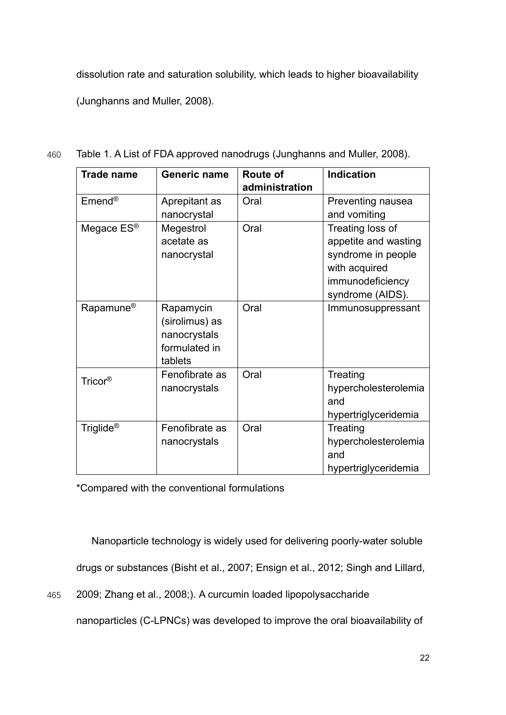dissolution rate and saturation solubility, which leads to higher bioavailability (Junghanns and Muller, 2008).

| <b>Trade name</b>       | <b>Generic name</b>                                                     | <b>Route of</b><br>administration | Indication                                                                                                              |
|-------------------------|-------------------------------------------------------------------------|-----------------------------------|-------------------------------------------------------------------------------------------------------------------------|
| $E$ mend®               | Aprepitant as                                                           | Oral                              | Preventing nausea                                                                                                       |
|                         | nanocrystal                                                             |                                   | and vomiting                                                                                                            |
| Megace $ES^{\circledR}$ | Megestrol<br>acetate as<br>nanocrystal                                  | Oral                              | Treating loss of<br>appetite and wasting<br>syndrome in people<br>with acquired<br>immunodeficiency<br>syndrome (AIDS). |
| Rapamune <sup>®</sup>   | Rapamycin<br>(sirolimus) as<br>nanocrystals<br>formulated in<br>tablets | Oral                              | Immunosuppressant                                                                                                       |
| Tricor®                 | Fenofibrate as<br>nanocrystals                                          | Oral                              | Treating<br>hypercholesterolemia<br>and<br>hypertriglyceridemia                                                         |
| Triglide <sup>®</sup>   | Fenofibrate as<br>nanocrystals                                          | Oral                              | Treating<br>hypercholesterolemia<br>and<br>hypertriglyceridemia                                                         |

460 Table 1. A List of FDA approved nanodrugs (Junghanns and Muller, 2008).

\*Compared with the conventional formulations

Nanoparticle technology is widely used for delivering poorly-water soluble drugs or substances (Bisht et al., 2007; Ensign et al., 2012; Singh and Lillard,

465 2009; Zhang et al., 2008;). A curcumin loaded lipopolysaccharide

nanoparticles (C-LPNCs) was developed to improve the oral bioavailability of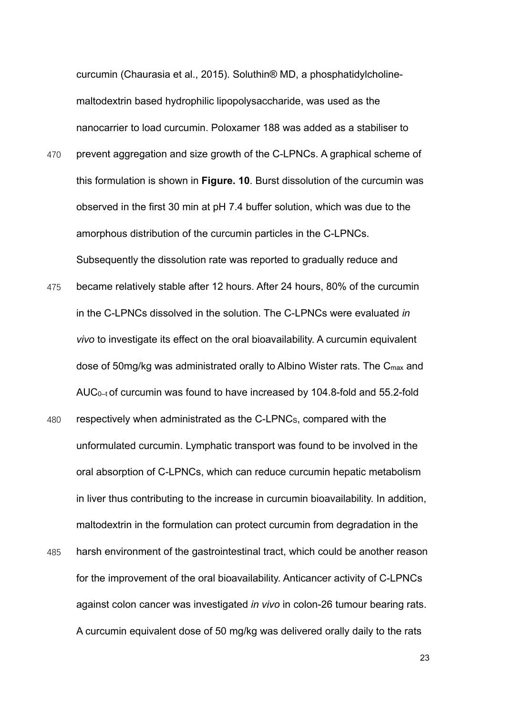curcumin (Chaurasia et al., 2015). Soluthin® MD, a phosphatidylcholinemaltodextrin based hydrophilic lipopolysaccharide, was used as the nanocarrier to load curcumin. Poloxamer 188 was added as a stabiliser to

- 470 prevent aggregation and size growth of the C-LPNCs. A graphical scheme of this formulation is shown in **Figure. 10**. Burst dissolution of the curcumin was observed in the first 30 min at pH 7.4 buffer solution, which was due to the amorphous distribution of the curcumin particles in the C-LPNCs. Subsequently the dissolution rate was reported to gradually reduce and
- 475 became relatively stable after 12 hours. After 24 hours, 80% of the curcumin in the C-LPNCs dissolved in the solution. The C-LPNCs were evaluated *in vivo* to investigate its effect on the oral bioavailability. A curcumin equivalent dose of 50mg/kg was administrated orally to Albino Wister rats. The C<sub>max</sub> and AUC0–t of curcumin was found to have increased by 104.8-fold and 55.2-fold
- 480 respectively when administrated as the C-LPNCS, compared with the unformulated curcumin. Lymphatic transport was found to be involved in the oral absorption of C-LPNCs, which can reduce curcumin hepatic metabolism in liver thus contributing to the increase in curcumin bioavailability. In addition, maltodextrin in the formulation can protect curcumin from degradation in the 485 harsh environment of the gastrointestinal tract, which could be another reason for the improvement of the oral bioavailability. Anticancer activity of C-LPNCs against colon cancer was investigated *in vivo* in colon-26 tumour bearing rats. A curcumin equivalent dose of 50 mg/kg was delivered orally daily to the rats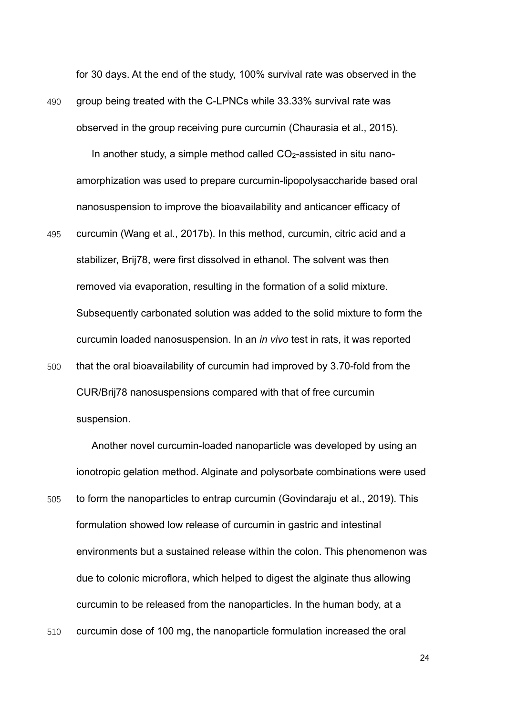for 30 days. At the end of the study, 100% survival rate was observed in the 490 group being treated with the C-LPNCs while 33.33% survival rate was

observed in the group receiving pure curcumin (Chaurasia et al., 2015).

In another study, a simple method called CO<sub>2</sub>-assisted in situ nanoamorphization was used to prepare curcumin-lipopolysaccharide based oral nanosuspension to improve the bioavailability and anticancer efficacy of

495 curcumin (Wang et al., 2017b). In this method, curcumin, citric acid and a stabilizer, Brij78, were first dissolved in ethanol. The solvent was then removed via evaporation, resulting in the formation of a solid mixture. Subsequently carbonated solution was added to the solid mixture to form the curcumin loaded nanosuspension. In an *in vivo* test in rats, it was reported 500 that the oral bioavailability of curcumin had improved by 3.70-fold from the

CUR/Brij78 nanosuspensions compared with that of free curcumin suspension.

Another novel curcumin-loaded nanoparticle was developed by using an ionotropic gelation method. Alginate and polysorbate combinations were used 505 to form the nanoparticles to entrap curcumin (Govindaraju et al., 2019). This formulation showed low release of curcumin in gastric and intestinal environments but a sustained release within the colon. This phenomenon was due to colonic microflora, which helped to digest the alginate thus allowing curcumin to be released from the nanoparticles. In the human body, at a

510 curcumin dose of 100 mg, the nanoparticle formulation increased the oral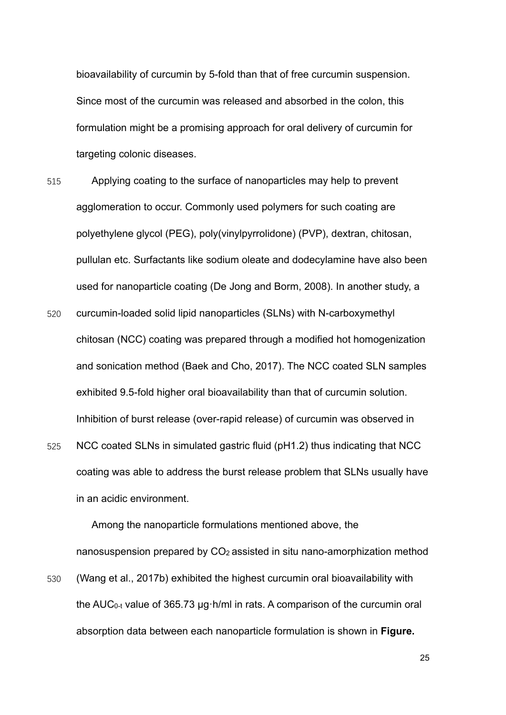bioavailability of curcumin by 5-fold than that of free curcumin suspension. Since most of the curcumin was released and absorbed in the colon, this formulation might be a promising approach for oral delivery of curcumin for targeting colonic diseases.

- 515 Applying coating to the surface of nanoparticles may help to prevent agglomeration to occur. Commonly used polymers for such coating are polyethylene glycol (PEG), poly(vinylpyrrolidone) (PVP), dextran, chitosan, pullulan etc. Surfactants like sodium oleate and dodecylamine have also been used for nanoparticle coating (De Jong and Borm, 2008). In another study, a
- 520 curcumin-loaded solid lipid nanoparticles (SLNs) with N-carboxymethyl [chitosan](https://www.sciencedirect.com/topics/pharmacology-toxicology-and-pharmaceutical-science/chitosan) (NCC) coating was prepared through a modified hot homogenization and sonication method (Baek and Cho, 2017). The NCC coated SLN samples exhibited 9.5-fold higher oral bioavailability than that of curcumin solution. Inhibition of burst release (over-rapid release) of curcumin was observed in
- 525 NCC coated SLNs in simulated gastric fluid (pH1.2) thus indicating that NCC coating was able to address the burst release problem that SLNs usually have in an acidic environment.

Among the nanoparticle formulations mentioned above, the nanosuspension prepared by CO2 assisted in situ nano-amorphization method

530 (Wang et al., 2017b) exhibited the highest curcumin oral bioavailability with the AUC0-t value of 365.73 μg·h/ml in rats. A comparison of the curcumin oral absorption data between each nanoparticle formulation is shown in **Figure.**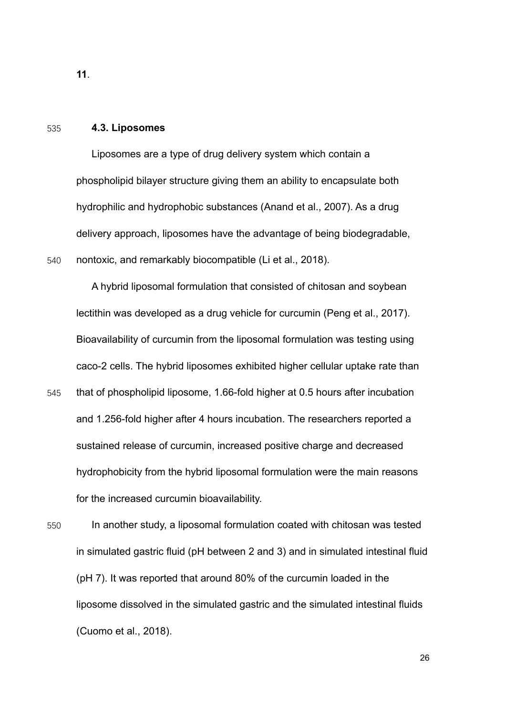#### **11**.

#### 535 **4.3. Liposomes**

Liposomes are a type of drug delivery system which contain a phospholipid bilayer structure giving them an ability to encapsulate both hydrophilic and hydrophobic substances (Anand et al., 2007). As a drug delivery approach, liposomes have the advantage of being biodegradable, 540 nontoxic, and remarkably biocompatible (Li et al., 2018).

A hybrid liposomal formulation that consisted of chitosan and soybean lectithin was developed as a drug vehicle for curcumin (Peng et al., 2017). Bioavailability of curcumin from the liposomal formulation was testing using caco-2 cells. The hybrid liposomes exhibited higher cellular uptake rate than

545 that of phospholipid liposome, 1.66-fold higher at 0.5 hours after incubation and 1.256-fold higher after 4 hours incubation. The researchers reported a sustained release of curcumin, increased positive charge and decreased hydrophobicity from the hybrid liposomal formulation were the main reasons for the increased curcumin bioavailability.

550 In another study, a liposomal formulation coated with chitosan was tested in simulated gastric fluid (pH between 2 and 3) and in simulated intestinal fluid (pH 7). It was reported that around 80% of the curcumin loaded in the liposome dissolved in the simulated gastric and the simulated intestinal fluids (Cuomo et al., 2018).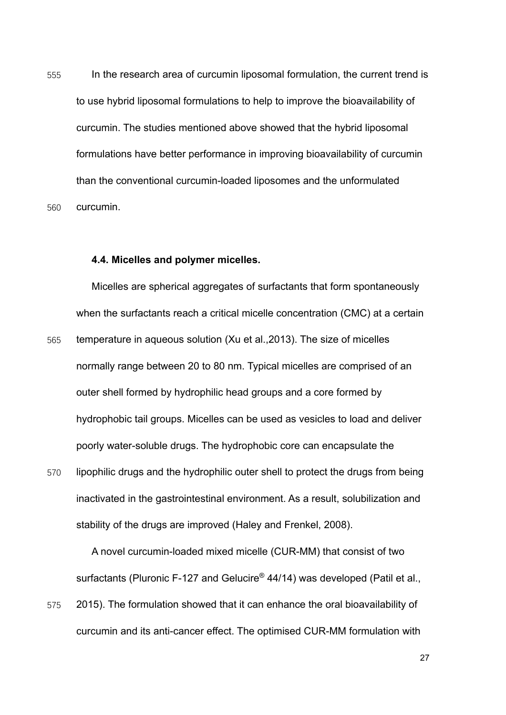555 In the research area of curcumin liposomal formulation, the current trend is to use hybrid liposomal formulations to help to improve the bioavailability of curcumin. The studies mentioned above showed that the hybrid liposomal formulations have better performance in improving bioavailability of curcumin than the conventional curcumin-loaded liposomes and the unformulated 560 curcumin.

#### **4.4. Micelles and polymer micelles.**

Micelles are spherical aggregates of surfactants that form spontaneously when the surfactants reach a critical micelle concentration (CMC) at a certain 565 temperature in aqueous solution (Xu et al.,2013). The size of micelles normally range between 20 to 80 nm. Typical micelles are comprised of an outer shell formed by hydrophilic head groups and a core formed by hydrophobic tail groups. Micelles can be used as vesicles to load and deliver poorly water-soluble drugs. The hydrophobic core can encapsulate the

570 lipophilic drugs and the hydrophilic outer shell to protect the drugs from being inactivated in the gastrointestinal environment. As a result, solubilization and stability of the drugs are improved (Haley and Frenkel, 2008).

A novel curcumin-loaded mixed micelle (CUR-MM) that consist of two surfactants (Pluronic F-127 and Gelucire<sup>®</sup> 44/14) was developed (Patil et al.,

575 2015). The formulation showed that it can enhance the oral bioavailability of curcumin and its anti-cancer effect. The optimised CUR-MM formulation with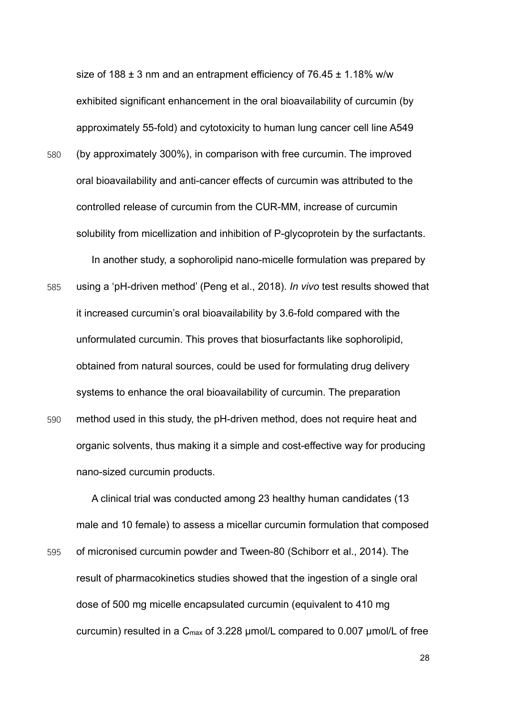size of 188  $\pm$  3 nm and an entrapment efficiency of 76.45  $\pm$  1.18% w/w exhibited significant enhancement in the oral bioavailability of curcumin (by approximately 55-fold) and cytotoxicity to human lung cancer cell line A549 580 (by approximately 300%), in comparison with free curcumin. The improved oral bioavailability and anti-cancer effects of curcumin was attributed to the controlled release of curcumin from the CUR-MM, increase of curcumin solubility from micellization and inhibition of P-glycoprotein by the surfactants.

In another study, a sophorolipid nano-micelle formulation was prepared by 585 using a 'pH-driven method' (Peng et al., 2018). *In vivo* test results showed that it increased curcumin's oral bioavailability by 3.6-fold compared with the unformulated curcumin. This proves that biosurfactants like sophorolipid, obtained from natural sources, could be used for formulating drug delivery systems to enhance the oral bioavailability of curcumin. The preparation

590 method used in this study, the pH-driven method, does not require heat and organic solvents, thus making it a simple and cost-effective way for producing nano-sized curcumin products.

A clinical trial was conducted among 23 healthy human candidates (13 male and 10 female) to assess a micellar curcumin formulation that composed 595 of micronised curcumin powder and Tween-80 (Schiborr et al., 2014). The result of pharmacokinetics studies showed that the ingestion of a single oral dose of 500 mg micelle encapsulated curcumin (equivalent to 410 mg curcumin) resulted in a  $C_{\text{max}}$  of 3.228 µmol/L compared to 0.007 µmol/L of free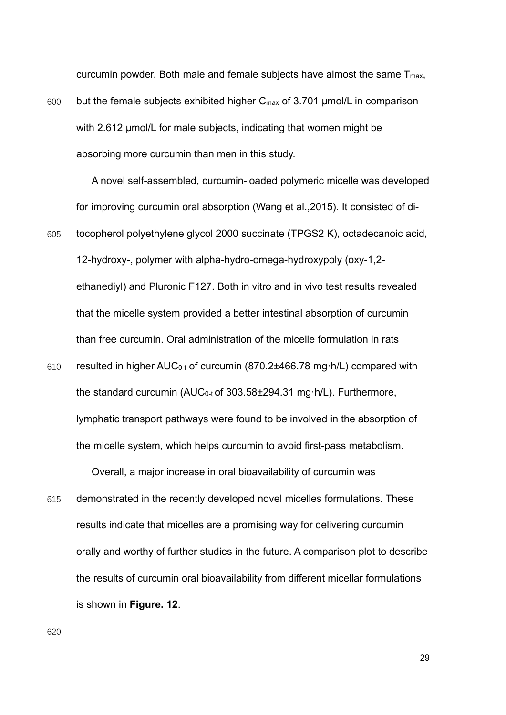curcumin powder. Both male and female subjects have almost the same  $T_{\text{max}}$ ,

600 but the female subjects exhibited higher Cmax of 3.701 μmol/L in comparison with 2.612 μmol/L for male subjects, indicating that women might be absorbing more curcumin than men in this study.

A novel self-assembled, curcumin-loaded polymeric micelle was developed for improving curcumin oral absorption (Wang et al.,2015). It consisted of di-605 tocopherol polyethylene glycol 2000 succinate (TPGS2 K), octadecanoic acid, 12-hydroxy-, polymer with alpha-hydro-omega-hydroxypoly (oxy-1,2 ethanediyl) and Pluronic F127. Both in vitro and in vivo test results revealed that the micelle system provided a better intestinal absorption of curcumin than free curcumin. Oral administration of the micelle formulation in rats

610 resulted in higher AUC0-t of curcumin (870.2±466.78 mg·h/L) compared with the standard curcumin (AUC0-t of 303.58±294.31 mg·h/L). Furthermore, lymphatic transport pathways were found to be involved in the absorption of the micelle system, which helps curcumin to avoid first-pass metabolism.

Overall, a major increase in oral bioavailability of curcumin was

615 demonstrated in the recently developed novel micelles formulations. These results indicate that micelles are a promising way for delivering curcumin orally and worthy of further studies in the future. A comparison plot to describe the results of curcumin oral bioavailability from different micellar formulations is shown in **Figure. 12**.

620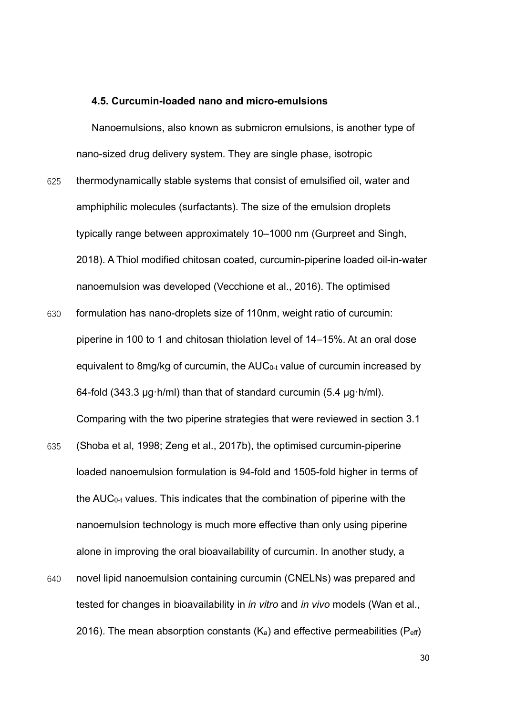#### **4.5. Curcumin-loaded nano and micro-emulsions**

Nanoemulsions, also known as submicron emulsions, is another type of nano-sized drug delivery system. They are single phase, isotropic

- 625 thermodynamically stable systems that consist of emulsified oil, water and amphiphilic molecules (surfactants). The size of the emulsion droplets typically range between approximately 10–1000 nm (Gurpreet and Singh, 2018). A Thiol modified chitosan coated, curcumin-piperine loaded oil-in-water nanoemulsion was developed (Vecchione et al., 2016). The optimised
- 630 formulation has nano-droplets size of 110nm, weight ratio of curcumin: piperine in 100 to 1 and chitosan thiolation level of 14–15%. At an oral dose equivalent to 8mg/kg of curcumin, the AUC0-t value of curcumin increased by 64-fold (343.3 μg·h/ml) than that of standard curcumin (5.4 μg·h/ml). Comparing with the two piperine strategies that were reviewed in section 3.1
- 635 (Shoba et al, 1998; Zeng et al., 2017b), the optimised curcumin-piperine loaded nanoemulsion formulation is 94-fold and 1505-fold higher in terms of the AUC0-t values. This indicates that the combination of piperine with the nanoemulsion technology is much more effective than only using piperine alone in improving the oral bioavailability of curcumin. In another study, a
- 640 novel lipid nanoemulsion containing curcumin (CNELNs) was prepared and tested for changes in bioavailability in *in vitro* and *in vivo* models (Wan et al., 2016). The mean absorption constants  $(K_a)$  and effective permeabilities ( $P_{\text{eff}}$ )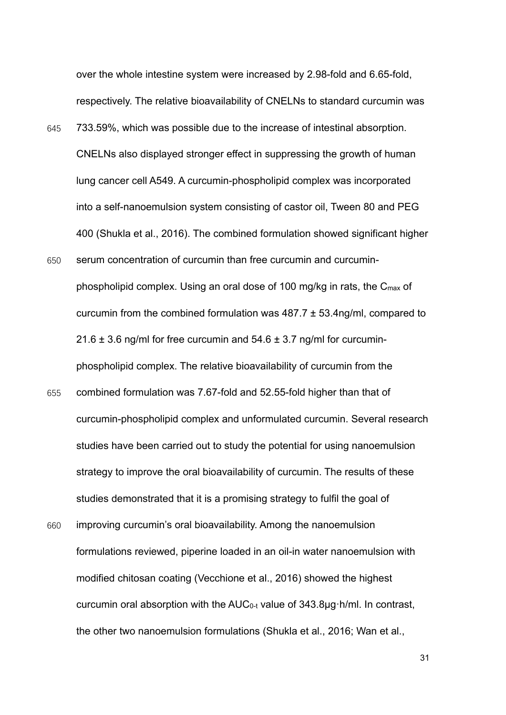over the whole intestine system were increased by 2.98-fold and 6.65-fold, respectively. The relative bioavailability of CNELNs to standard curcumin was

- 645 733.59%, which was possible due to the increase of intestinal absorption. CNELNs also displayed stronger effect in suppressing the growth of human lung cancer cell A549. A curcumin-phospholipid complex was incorporated into a self-nanoemulsion system consisting of castor oil, Tween 80 and PEG 400 (Shukla et al., 2016). The combined formulation showed significant higher
- 650 serum concentration of curcumin than free curcumin and curcuminphospholipid complex. Using an oral dose of 100 mg/kg in rats, the  $C_{\text{max}}$  of curcumin from the combined formulation was 487.7 ± 53.4ng/ml, compared to  $21.6 \pm 3.6$  ng/ml for free curcumin and  $54.6 \pm 3.7$  ng/ml for curcuminphospholipid complex. The relative bioavailability of curcumin from the
- 655 combined formulation was 7.67-fold and 52.55-fold higher than that of curcumin-phospholipid complex and unformulated curcumin. Several research studies have been carried out to study the potential for using nanoemulsion strategy to improve the oral bioavailability of curcumin. The results of these studies demonstrated that it is a promising strategy to fulfil the goal of
- 660 improving curcumin's oral bioavailability. Among the nanoemulsion formulations reviewed, piperine loaded in an oil-in water nanoemulsion with modified chitosan coating (Vecchione et al., 2016) showed the highest curcumin oral absorption with the AUC0-t value of 343.8μg·h/ml. In contrast, the other two nanoemulsion formulations (Shukla et al., 2016; Wan et al.,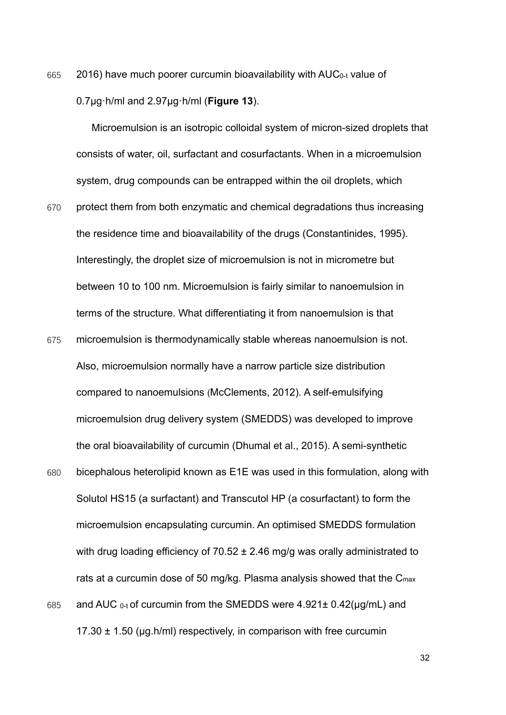665 2016) have much poorer curcumin bioavailability with AUC0-t value of 0.7μg·h/ml and 2.97μg·h/ml (**Figure 13**).

Microemulsion is an isotropic colloidal system of micron-sized droplets that consists of water, oil, surfactant and cosurfactants. When in a microemulsion system, drug compounds can be entrapped within the oil droplets, which

- 670 protect them from both enzymatic and chemical degradations thus increasing the residence time and bioavailability of the drugs (Constantinides, 1995). Interestingly, the droplet size of microemulsion is not in micrometre but between 10 to 100 nm. Microemulsion is fairly similar to nanoemulsion in terms of the structure. What differentiating it from nanoemulsion is that
- 675 microemulsion is thermodynamically stable whereas nanoemulsion is not. Also, microemulsion normally have a narrow particle size distribution compared to nanoemulsions (McClements, 2012). A self-emulsifying microemulsion drug delivery system (SMEDDS) was developed to improve the oral bioavailability of curcumin (Dhumal et al., 2015). A semi-synthetic
- 680 bicephalous heterolipid known as E1E was used in this formulation, along with Solutol HS15 (a surfactant) and Transcutol HP (a cosurfactant) to form the microemulsion encapsulating curcumin. An optimised SMEDDS formulation with drug loading efficiency of  $70.52 \pm 2.46$  mg/g was orally administrated to rats at a curcumin dose of 50 mg/kg. Plasma analysis showed that the C<sub>max</sub> 685 and AUC 0-t of curcumin from the SMEDDS were 4.921± 0.42(µg/mL) and 17.30  $\pm$  1.50 (µg.h/ml) respectively, in comparison with free curcumin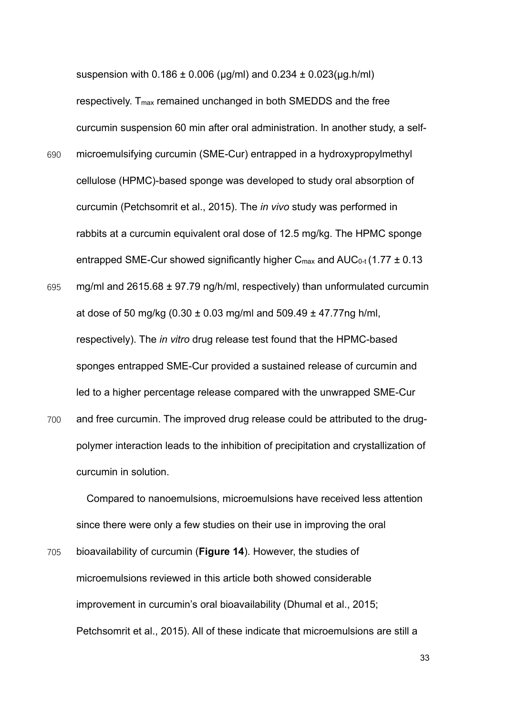suspension with  $0.186 \pm 0.006$  (µg/ml) and  $0.234 \pm 0.023$ (µg.h/ml)

respectively. T<sub>max</sub> remained unchanged in both SMEDDS and the free curcumin suspension 60 min after oral administration. In another study, a self-

- 690 microemulsifying curcumin (SME-Cur) entrapped in a hydroxypropylmethyl cellulose (HPMC)-based sponge was developed to study oral absorption of curcumin (Petchsomrit et al., 2015). The *in vivo* study was performed in rabbits at a curcumin equivalent oral dose of 12.5 mg/kg. The HPMC sponge entrapped SME-Cur showed significantly higher  $C_{\text{max}}$  and  $AUC_{0-t}$  (1.77  $\pm$  0.13
- 695 mg/ml and  $2615.68 \pm 97.79$  ng/h/ml, respectively) than unformulated curcumin at dose of 50 mg/kg  $(0.30 \pm 0.03 \text{ mg/ml}$  and  $509.49 \pm 47.77 \text{ng h/ml}$ , respectively). The *in vitro* drug release test found that the HPMC-based sponges entrapped SME-Cur provided a sustained release of curcumin and led to a higher percentage release compared with the unwrapped SME-Cur
- 700 and free curcumin. The improved drug release could be attributed to the drugpolymer interaction leads to the inhibition of precipitation and crystallization of curcumin in solution.

Compared to nanoemulsions, microemulsions have received less attention since there were only a few studies on their use in improving the oral

705 bioavailability of curcumin (**Figure 14**). However, the studies of microemulsions reviewed in this article both showed considerable improvement in curcumin's oral bioavailability (Dhumal et al., 2015; Petchsomrit et al., 2015). All of these indicate that microemulsions are still a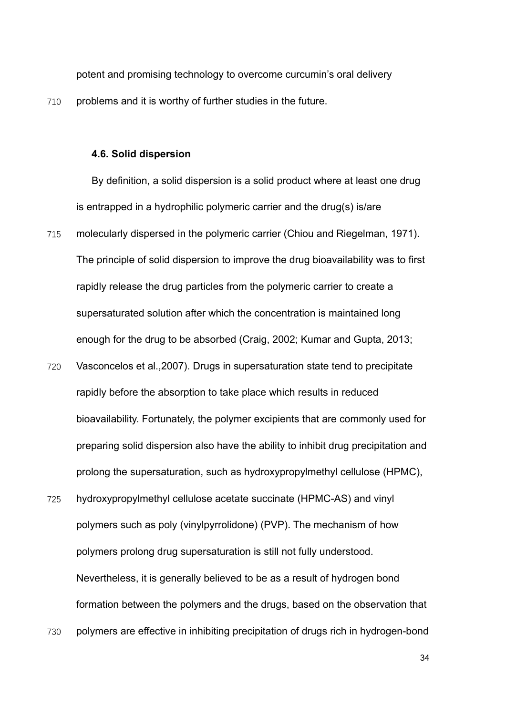potent and promising technology to overcome curcumin's oral delivery

710 problems and it is worthy of further studies in the future.

#### **4.6. Solid dispersion**

By definition, a solid dispersion is a solid product where at least one drug is entrapped in a hydrophilic polymeric carrier and the drug(s) is/are 715 molecularly dispersed in the polymeric carrier (Chiou and Riegelman, 1971). The principle of solid dispersion to improve the drug bioavailability was to first rapidly release the drug particles from the polymeric carrier to create a supersaturated solution after which the concentration is maintained long enough for the drug to be absorbed (Craig, 2002; Kumar and Gupta, 2013;

- 720 Vasconcelos et al.,2007). Drugs in supersaturation state tend to precipitate rapidly before the absorption to take place which results in reduced bioavailability. Fortunately, the polymer excipients that are commonly used for preparing solid dispersion also have the ability to inhibit drug precipitation and prolong the supersaturation, such as hydroxypropylmethyl cellulose (HPMC),
- 725 hydroxypropylmethyl cellulose acetate succinate (HPMC-AS) and vinyl polymers such as poly (vinylpyrrolidone) (PVP). The mechanism of how polymers prolong drug supersaturation is still not fully understood. Nevertheless, it is generally believed to be as a result of hydrogen bond formation between the polymers and the drugs, based on the observation that
- 730 polymers are effective in inhibiting precipitation of drugs rich in hydrogen-bond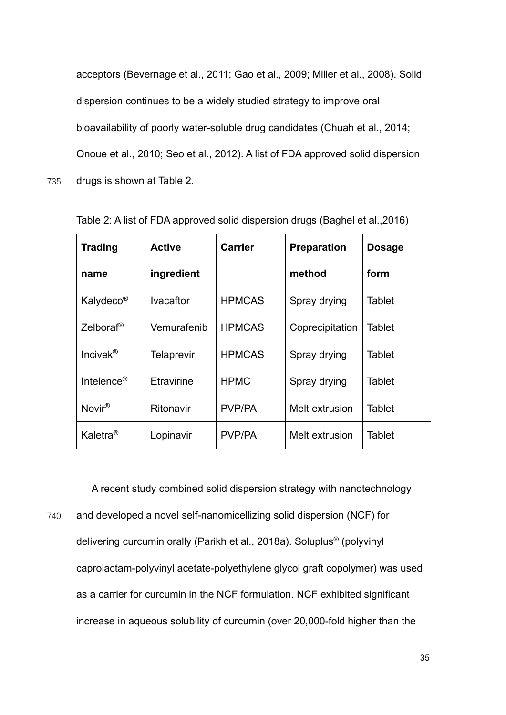acceptors (Bevernage et al., 2011; Gao et al., 2009; Miller et al., 2008). Solid dispersion continues to be a widely studied strategy to improve oral bioavailability of poorly water-soluble drug candidates (Chuah et al., 2014; Onoue et al., 2010; Seo et al., 2012). A list of FDA approved solid dispersion 735 drugs is shown at Table 2.

| <b>Trading</b>         | <b>Active</b>     | <b>Carrier</b> | <b>Preparation</b> | <b>Dosage</b> |
|------------------------|-------------------|----------------|--------------------|---------------|
| name                   | ingredient        |                | method             | form          |
| Kalydeco <sup>®</sup>  | <b>Ivacaftor</b>  | <b>HPMCAS</b>  | Spray drying       | <b>Tablet</b> |
| Zelboraf <sup>®</sup>  | Vemurafenib       | <b>HPMCAS</b>  | Coprecipitation    | <b>Tablet</b> |
| Incivek <sup>®</sup>   | <b>Telaprevir</b> | <b>HPMCAS</b>  | Spray drying       | Tablet        |
| Intelence <sup>®</sup> | Etravirine        | <b>HPMC</b>    | Spray drying       | <b>Tablet</b> |
| Novir <sup>®</sup>     | Ritonavir         | PVP/PA         | Melt extrusion     | Tablet        |
| Kaletra <sup>®</sup>   | Lopinavir         | PVP/PA         | Melt extrusion     | Tablet        |

Table 2: A list of FDA approved solid dispersion drugs (Baghel et al.,2016)

A recent study combined solid dispersion strategy with nanotechnology

740 and developed a novel self-nanomicellizing solid dispersion (NCF) for delivering curcumin orally (Parikh et al., 2018a). Soluplus® (polyvinyl caprolactam-polyvinyl acetate-polyethylene glycol graft copolymer) was used as a carrier for curcumin in the NCF formulation. NCF exhibited significant increase in aqueous solubility of curcumin (over 20,000-fold higher than the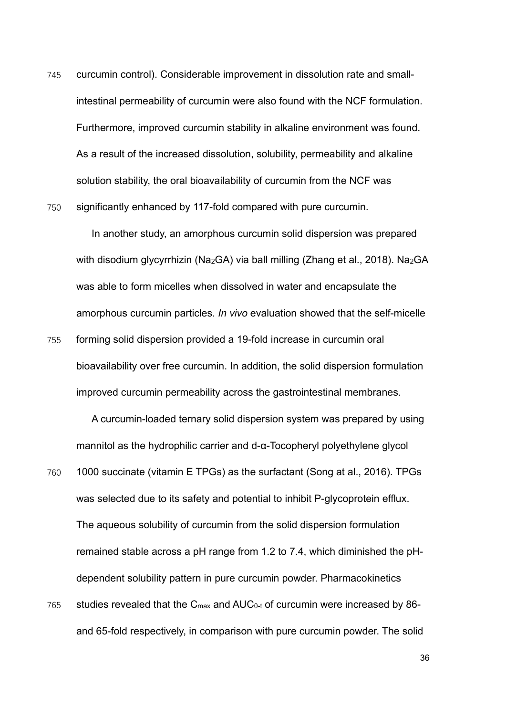745 curcumin control). Considerable improvement in dissolution rate and smallintestinal permeability of curcumin were also found with the NCF formulation. Furthermore, improved curcumin stability in alkaline environment was found. As a result of the increased dissolution, solubility, permeability and alkaline solution stability, the oral bioavailability of curcumin from the NCF was 750 significantly enhanced by 117-fold compared with pure curcumin.

In another study, an amorphous curcumin solid dispersion was prepared with disodium glycyrrhizin (Na<sub>2</sub>GA) via ball milling (Zhang et al., 2018). Na<sub>2</sub>GA was able to form micelles when dissolved in water and encapsulate the amorphous curcumin particles. *In vivo* evaluation showed that the self-micelle 755 forming solid dispersion provided a 19-fold increase in curcumin oral bioavailability over free curcumin. In addition, the solid dispersion formulation improved curcumin permeability across the gastrointestinal membranes.

A curcumin-loaded ternary solid dispersion system was prepared by using mannitol as the hydrophilic carrier and d-α-Tocopheryl polyethylene glycol

760 1000 succinate (vitamin E TPGs) as the surfactant (Song at al., 2016). TPGs was selected due to its safety and potential to inhibit P-glycoprotein efflux. The aqueous solubility of curcumin from the solid dispersion formulation remained stable across a pH range from 1.2 to 7.4, which diminished the pHdependent solubility pattern in pure curcumin powder. Pharmacokinetics 765 studies revealed that the  $C_{\text{max}}$  and  $AUC_{0-t}$  of curcumin were increased by 86and 65-fold respectively, in comparison with pure curcumin powder. The solid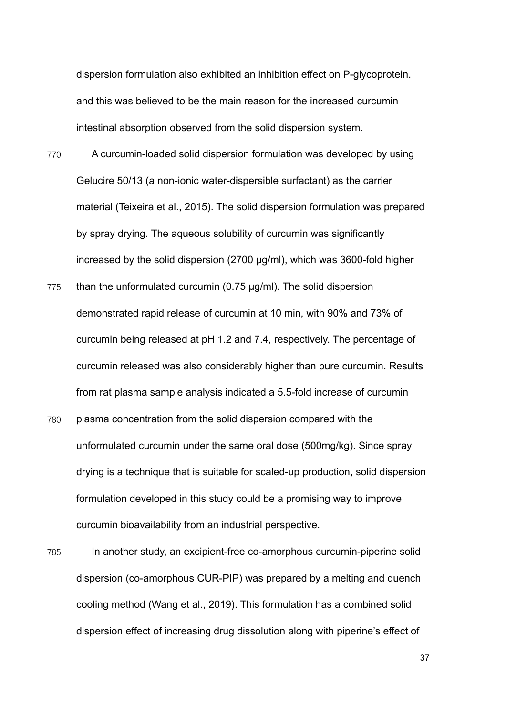dispersion formulation also exhibited an inhibition effect on P-glycoprotein. and this was believed to be the main reason for the increased curcumin intestinal absorption observed from the solid dispersion system.

- 770 A curcumin-loaded solid dispersion formulation was developed by using Gelucire 50/13 (a non-ionic water-dispersible surfactant) as the carrier material (Teixeira et al., 2015). The solid dispersion formulation was prepared by spray drying. The aqueous solubility of curcumin was significantly increased by the solid dispersion (2700 μg/ml), which was 3600-fold higher
- $775$  than the unformulated curcumin (0.75  $\mu$ g/ml). The solid dispersion demonstrated rapid release of curcumin at 10 min, with 90% and 73% of curcumin being released at pH 1.2 and 7.4, respectively. The percentage of curcumin released was also considerably higher than pure curcumin. Results from rat plasma sample analysis indicated a 5.5-fold increase of curcumin
- 780 plasma concentration from the solid dispersion compared with the unformulated curcumin under the same oral dose (500mg/kg). Since spray drying is a technique that is suitable for scaled-up production, solid dispersion formulation developed in this study could be a promising way to improve curcumin bioavailability from an industrial perspective.
- 785 In another study, an excipient-free co-amorphous curcumin-piperine solid dispersion (co-amorphous CUR-PIP) was prepared by a melting and quench cooling method (Wang et al., 2019). This formulation has a combined solid dispersion effect of increasing drug dissolution along with piperine's effect of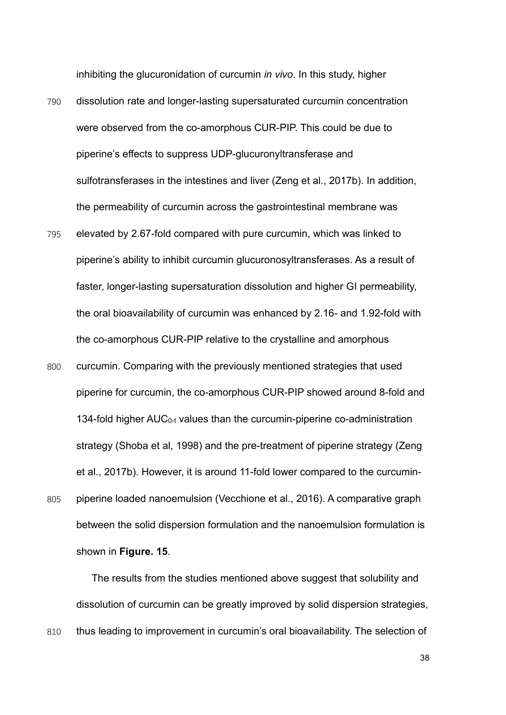inhibiting the glucuronidation of curcumin *in vivo*. In this study, higher

- 790 dissolution rate and longer-lasting supersaturated curcumin concentration were observed from the co-amorphous CUR-PIP. This could be due to piperine's effects to suppress UDP-glucuronyltransferase and sulfotransferases in the intestines and liver (Zeng et al., 2017b). In addition, the permeability of curcumin across the gastrointestinal membrane was
- 795 elevated by 2.67-fold compared with pure curcumin, which was linked to piperine's ability to inhibit curcumin glucuronosyltransferases. As a result of faster, longer-lasting supersaturation dissolution and higher GI permeability, the oral bioavailability of curcumin was enhanced by 2.16- and 1.92-fold with the co-amorphous CUR-PIP relative to the crystalline and amorphous
- 800 curcumin. Comparing with the previously mentioned strategies that used piperine for curcumin, the co-amorphous CUR-PIP showed around 8-fold and 134-fold higher  $AUC_{0-t}$  values than the curcumin-piperine co-administration strategy (Shoba et al, 1998) and the pre-treatment of piperine strategy (Zeng et al., 2017b). However, it is around 11-fold lower compared to the curcumin-805 piperine loaded nanoemulsion (Vecchione et al., 2016). A comparative graph between the solid dispersion formulation and the nanoemulsion formulation is shown in **Figure. 15**.

The results from the studies mentioned above suggest that solubility and dissolution of curcumin can be greatly improved by solid dispersion strategies, 810 thus leading to improvement in curcumin's oral bioavailability. The selection of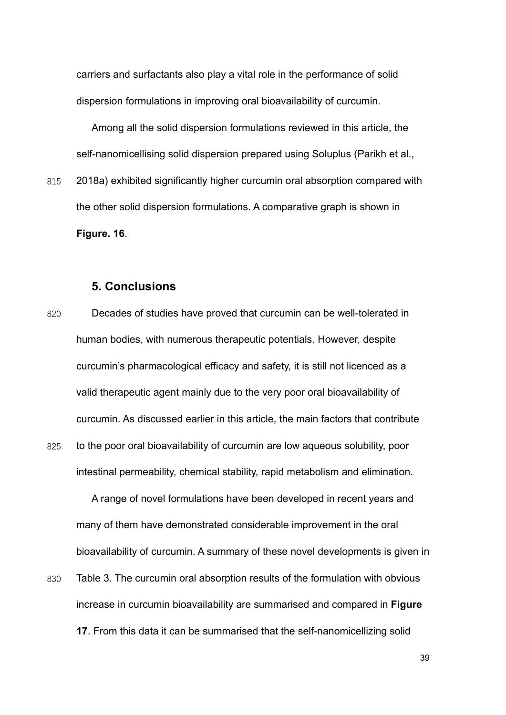carriers and surfactants also play a vital role in the performance of solid dispersion formulations in improving oral bioavailability of curcumin.

Among all the solid dispersion formulations reviewed in this article, the self-nanomicellising solid dispersion prepared using Soluplus (Parikh et al.,

815 2018a) exhibited significantly higher curcumin oral absorption compared with the other solid dispersion formulations. A comparative graph is shown in **Figure. 16**.

#### **5. Conclusions**

820 Decades of studies have proved that curcumin can be well-tolerated in human bodies, with numerous therapeutic potentials. However, despite curcumin's pharmacological efficacy and safety, it is still not licenced as a valid therapeutic agent mainly due to the very poor oral bioavailability of curcumin. As discussed earlier in this article, the main factors that contribute 825 to the poor oral bioavailability of curcumin are low aqueous solubility, poor intestinal permeability, chemical stability, rapid metabolism and elimination.

A range of novel formulations have been developed in recent years and many of them have demonstrated considerable improvement in the oral bioavailability of curcumin. A summary of these novel developments is given in

830 Table 3. The curcumin oral absorption results of the formulation with obvious increase in curcumin bioavailability are summarised and compared in **Figure 17**. From this data it can be summarised that the self-nanomicellizing solid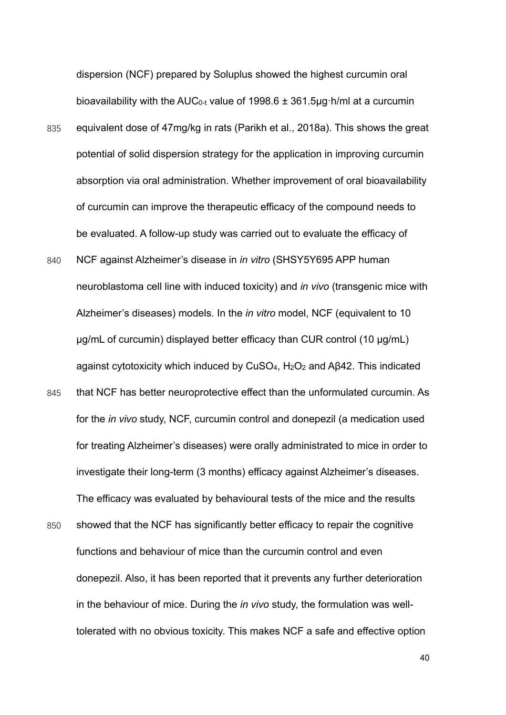dispersion (NCF) prepared by Soluplus showed the highest curcumin oral bioavailability with the AUC<sub>0-t</sub> value of 1998.6  $\pm$  361.5µg·h/ml at a curcumin

- 835 equivalent dose of 47mg/kg in rats (Parikh et al., 2018a). This shows the great potential of solid dispersion strategy for the application in improving curcumin absorption via oral administration. Whether improvement of oral bioavailability of curcumin can improve the therapeutic efficacy of the compound needs to be evaluated. A follow-up study was carried out to evaluate the efficacy of
- 840 NCF against Alzheimer's disease in *in vitro* (SHSY5Y695 APP human neuroblastoma cell line with induced toxicity) and *in vivo* (transgenic mice with Alzheimer's diseases) models. In the *in vitro* model, NCF (equivalent to 10 μg/mL of curcumin) displayed better efficacy than CUR control (10 μg/mL) against cytotoxicity which induced by CuSO4, H2O2 and Aβ42. This indicated
- 845 that NCF has better neuroprotective effect than the unformulated curcumin. As for the *in vivo* study, NCF, curcumin control and donepezil (a medication used for treating Alzheimer's diseases) were orally administrated to mice in order to investigate their long-term (3 months) efficacy against Alzheimer's diseases. The efficacy was evaluated by behavioural tests of the mice and the results
- 850 showed that the NCF has significantly better efficacy to repair the cognitive functions and behaviour of mice than the curcumin control and even donepezil. Also, it has been reported that it prevents any further deterioration in the behaviour of mice. During the *in vivo* study, the formulation was welltolerated with no obvious toxicity. This makes NCF a safe and effective option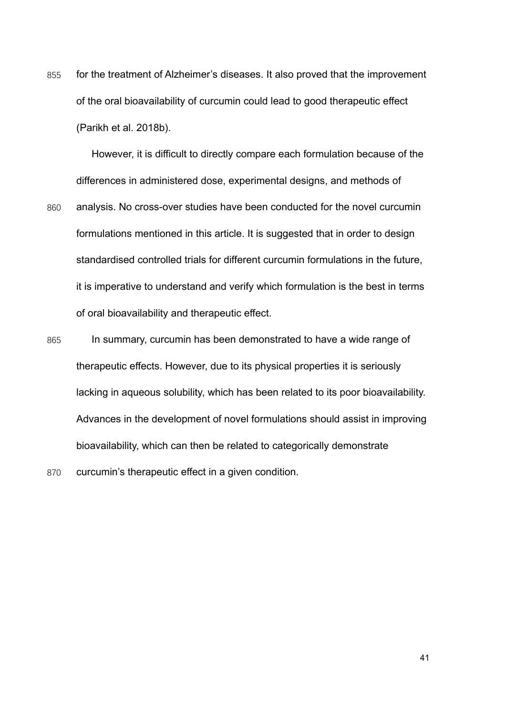855 for the treatment of Alzheimer's diseases. It also proved that the improvement of the oral bioavailability of curcumin could lead to good therapeutic effect (Parikh et al. 2018b).

However, it is difficult to directly compare each formulation because of the differences in administered dose, experimental designs, and methods of 860 analysis. No cross-over studies have been conducted for the novel curcumin formulations mentioned in this article. It is suggested that in order to design standardised controlled trials for different curcumin formulations in the future, it is imperative to understand and verify which formulation is the best in terms of oral bioavailability and therapeutic effect.

- 865 In summary, curcumin has been demonstrated to have a wide range of therapeutic effects. However, due to its physical properties it is seriously lacking in aqueous solubility, which has been related to its poor bioavailability. Advances in the development of novel formulations should assist in improving bioavailability, which can then be related to categorically demonstrate
- 870 curcumin's therapeutic effect in a given condition.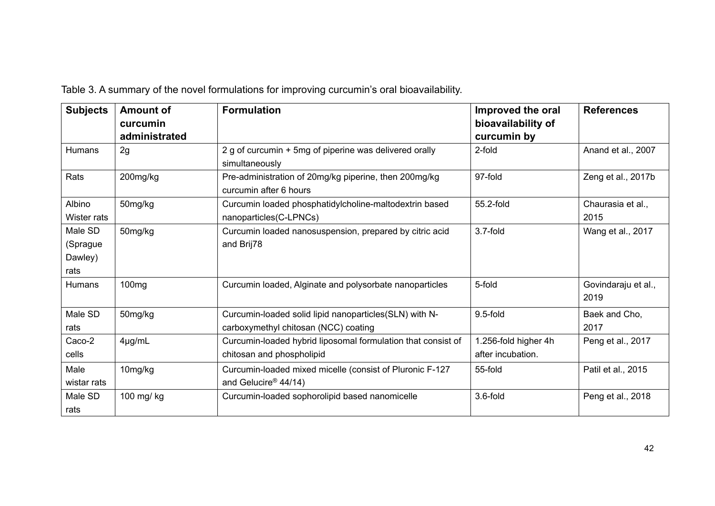| <b>Subjects</b>                        | <b>Amount of</b><br>curcumin | <b>Formulation</b>                                                                             | Improved the oral<br>bioavailability of   | <b>References</b>           |
|----------------------------------------|------------------------------|------------------------------------------------------------------------------------------------|-------------------------------------------|-----------------------------|
|                                        | administrated                |                                                                                                | curcumin by                               |                             |
| Humans                                 | 2g                           | 2 g of curcumin + 5mg of piperine was delivered orally<br>simultaneously                       | 2-fold                                    | Anand et al., 2007          |
| Rats                                   | 200mg/kg                     | Pre-administration of 20mg/kg piperine, then 200mg/kg<br>curcumin after 6 hours                | 97-fold                                   | Zeng et al., 2017b          |
| Albino<br>Wister rats                  | 50mg/kg                      | Curcumin loaded phosphatidylcholine-maltodextrin based<br>nanoparticles(C-LPNCs)               | 55.2-fold                                 | Chaurasia et al.,<br>2015   |
| Male SD<br>(Sprague<br>Dawley)<br>rats | 50mg/kg                      | Curcumin loaded nanosuspension, prepared by citric acid<br>and Brij78                          | 3.7-fold                                  | Wang et al., 2017           |
| Humans                                 | 100 <sub>mg</sub>            | Curcumin loaded, Alginate and polysorbate nanoparticles                                        | 5-fold                                    | Govindaraju et al.,<br>2019 |
| Male SD<br>rats                        | 50mg/kg                      | Curcumin-loaded solid lipid nanoparticles(SLN) with N-<br>carboxymethyl chitosan (NCC) coating | $9.5$ -fold                               | Baek and Cho,<br>2017       |
| Caco-2<br>cells                        | $4\mu g/mL$                  | Curcumin-loaded hybrid liposomal formulation that consist of<br>chitosan and phospholipid      | 1.256-fold higher 4h<br>after incubation. | Peng et al., 2017           |
| Male<br>wistar rats                    | 10mg/kg                      | Curcumin-loaded mixed micelle (consist of Pluronic F-127<br>and Gelucire <sup>®</sup> 44/14)   | 55-fold                                   | Patil et al., 2015          |
| Male SD<br>rats                        | 100 mg/ kg                   | Curcumin-loaded sophorolipid based nanomicelle                                                 | 3.6-fold                                  | Peng et al., 2018           |

Table 3. A summary of the novel formulations for improving curcumin's oral bioavailability.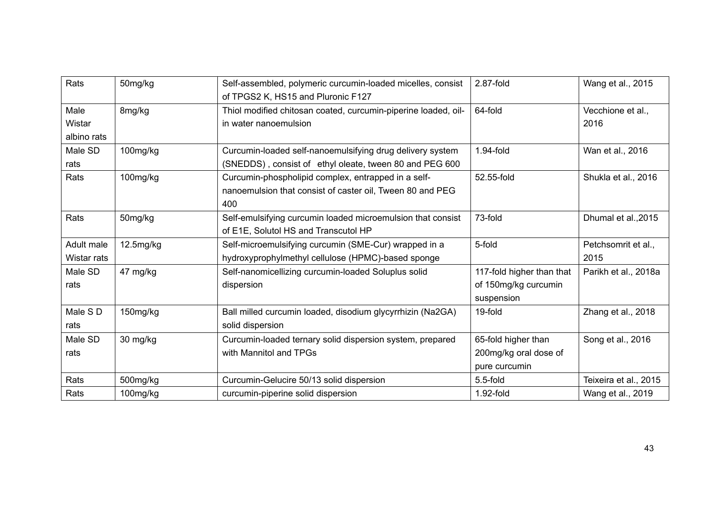| Rats        | 50mg/kg   | Self-assembled, polymeric curcumin-loaded micelles, consist    | 2.87-fold                 | Wang et al., 2015     |
|-------------|-----------|----------------------------------------------------------------|---------------------------|-----------------------|
|             |           | of TPGS2 K, HS15 and Pluronic F127                             |                           |                       |
| Male        | 8mg/kg    | Thiol modified chitosan coated, curcumin-piperine loaded, oil- | 64-fold                   | Vecchione et al.,     |
| Wistar      |           | in water nanoemulsion                                          |                           | 2016                  |
| albino rats |           |                                                                |                           |                       |
| Male SD     | 100mg/kg  | Curcumin-loaded self-nanoemulsifying drug delivery system      | 1.94-fold                 | Wan et al., 2016      |
| rats        |           | (SNEDDS), consist of ethyl oleate, tween 80 and PEG 600        |                           |                       |
| Rats        | 100mg/kg  | Curcumin-phospholipid complex, entrapped in a self-            | 52.55-fold                | Shukla et al., 2016   |
|             |           | nanoemulsion that consist of caster oil, Tween 80 and PEG      |                           |                       |
|             |           | 400                                                            |                           |                       |
| Rats        | 50mg/kg   | Self-emulsifying curcumin loaded microemulsion that consist    | 73-fold                   | Dhumal et al., 2015   |
|             |           | of E1E, Solutol HS and Transcutol HP                           |                           |                       |
| Adult male  | 12.5mg/kg | Self-microemulsifying curcumin (SME-Cur) wrapped in a          | 5-fold                    | Petchsomrit et al.,   |
| Wistar rats |           | hydroxyprophylmethyl cellulose (HPMC)-based sponge             |                           | 2015                  |
| Male SD     | 47 mg/kg  | Self-nanomicellizing curcumin-loaded Soluplus solid            | 117-fold higher than that | Parikh et al., 2018a  |
| rats        |           | dispersion                                                     | of 150mg/kg curcumin      |                       |
|             |           |                                                                | suspension                |                       |
| Male S D    | 150mg/kg  | Ball milled curcumin loaded, disodium glycyrrhizin (Na2GA)     | 19-fold                   | Zhang et al., 2018    |
| rats        |           | solid dispersion                                               |                           |                       |
| Male SD     | 30 mg/kg  | Curcumin-loaded ternary solid dispersion system, prepared      | 65-fold higher than       | Song et al., 2016     |
| rats        |           | with Mannitol and TPGs                                         | 200mg/kg oral dose of     |                       |
|             |           |                                                                | pure curcumin             |                       |
| Rats        | 500mg/kg  | Curcumin-Gelucire 50/13 solid dispersion                       | $5.5$ -fold               | Teixeira et al., 2015 |
| Rats        | 100mg/kg  | curcumin-piperine solid dispersion                             | 1.92-fold                 | Wang et al., 2019     |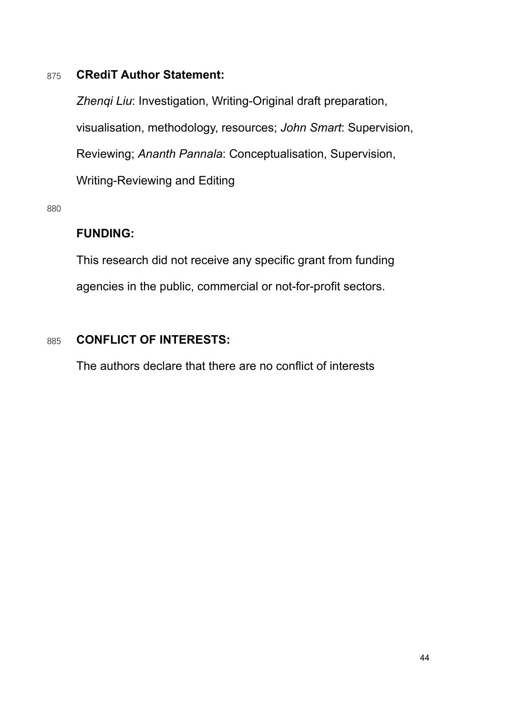## 875 **CRediT Author Statement:**

*Zhenqi Liu*: Investigation, Writing-Original draft preparation, visualisation, methodology, resources; *John Smart*: Supervision, Reviewing; *Ananth Pannala*: Conceptualisation, Supervision, Writing-Reviewing and Editing

880

## **FUNDING:**

This research did not receive any specific grant from funding agencies in the public, commercial or not-for-profit sectors.

## 885 **CONFLICT OF INTERESTS:**

The authors declare that there are no conflict of interests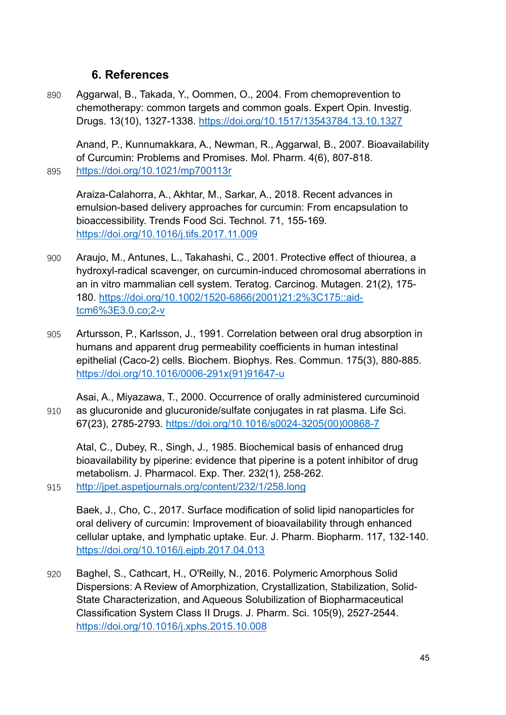## **6. References**

890 Aggarwal, B., Takada, Y., Oommen, O., 2004. From chemoprevention to chemotherapy: common targets and common goals. Expert Opin. Investig. Drugs. 13(10), 1327-1338.<https://doi.org/10.1517/13543784.13.10.1327>

Anand, P., Kunnumakkara, A., Newman, R., Aggarwal, B., 2007. Bioavailability of Curcumin: Problems and Promises. Mol. Pharm. 4(6), 807-818. 895 <https://doi.org/10.1021/mp700113r>

Araiza-Calahorra, A., Akhtar, M., Sarkar, A., 2018. Recent advances in emulsion-based delivery approaches for curcumin: From encapsulation to bioaccessibility. Trends Food Sci. Technol. 71, 155-169. <https://doi.org/10.1016/j.tifs.2017.11.009>

- 900 Araujo, M., Antunes, L., Takahashi, C., 2001. Protective effect of thiourea, a hydroxyl-radical scavenger, on curcumin-induced chromosomal aberrations in an in vitro mammalian cell system. Teratog. Carcinog. Mutagen. 21(2), 175- 180. [https://doi.org/10.1002/1520-6866\(2001\)21:2%3C175::aid](https://doi.org/10.1002/1520-6866(2001)21:2%3C175::aid-tcm6%3E3.0.co;2-v)[tcm6%3E3.0.co;2-v](https://doi.org/10.1002/1520-6866(2001)21:2%3C175::aid-tcm6%3E3.0.co;2-v)
- 905 Artursson, P., Karlsson, J., 1991. Correlation between oral drug absorption in humans and apparent drug permeability coefficients in human intestinal epithelial (Caco-2) cells. Biochem. Biophys. Res. Commun. 175(3), 880-885. [https://doi.org/10.1016/0006-291x\(91\)91647-u](https://doi.org/10.1016/0006-291x(91)91647-u)

Asai, A., Miyazawa, T., 2000. Occurrence of orally administered curcuminoid 910 as glucuronide and glucuronide/sulfate conjugates in rat plasma. Life Sci. 67(23), 2785-2793. [https://doi.org/10.1016/s0024-3205\(00\)00868-7](https://doi.org/10.1016/s0024-3205(00)00868-7)

Atal, C., Dubey, R., Singh, J., 1985. Biochemical basis of enhanced drug bioavailability by piperine: evidence that piperine is a potent inhibitor of drug metabolism. J. Pharmacol. Exp. Ther. 232(1), 258-262. 915 <http://jpet.aspetjournals.org/content/232/1/258.long>

Baek, J., Cho, C., 2017. Surface modification of solid lipid nanoparticles for oral delivery of curcumin: Improvement of bioavailability through enhanced cellular uptake, and lymphatic uptake. Eur. J. Pharm. Biopharm. 117, 132-140. <https://doi.org/10.1016/j.ejpb.2017.04.013>

920 Baghel, S., Cathcart, H., O'Reilly, N., 2016. Polymeric Amorphous Solid Dispersions: A Review of Amorphization, Crystallization, Stabilization, Solid-State Characterization, and Aqueous Solubilization of Biopharmaceutical Classification System Class II Drugs. J. Pharm. Sci. 105(9), 2527-2544. <https://doi.org/10.1016/j.xphs.2015.10.008>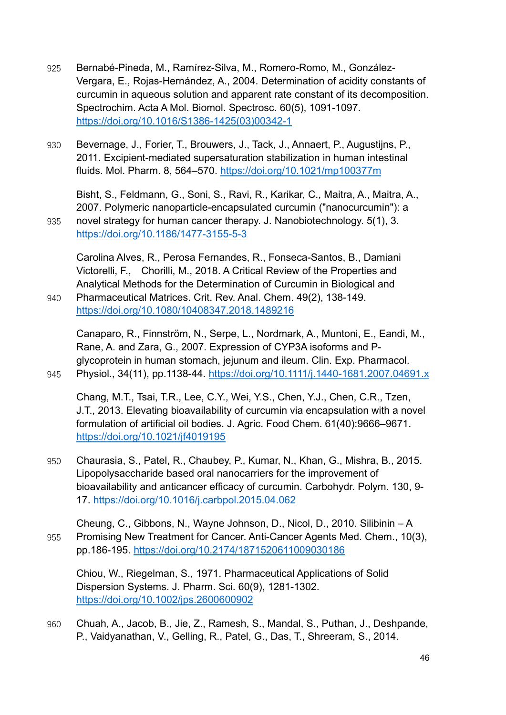- 925 Bernabé-Pineda, M., Ramírez-Silva, M., Romero-Romo, M., González-Vergara, E., Rojas-Hernández, A., 2004. Determination of acidity constants of curcumin in aqueous solution and apparent rate constant of its decomposition. Spectrochim. Acta A Mol. Biomol. Spectrosc. 60(5), 1091-1097. [https://doi.org/10.1016/S1386-1425\(03\)00342-1](https://doi.org/10.1016/S1386-1425(03)00342-1)
- 930 Bevernage, J., Forier, T., Brouwers, J., Tack, J., Annaert, P., Augustijns, P., 2011. Excipient-mediated supersaturation stabilization in human intestinal fluids. Mol. Pharm. 8, 564–570.<https://doi.org/10.1021/mp100377m>

Bisht, S., Feldmann, G., Soni, S., Ravi, R., Karikar, C., Maitra, A., Maitra, A., 2007. Polymeric nanoparticle-encapsulated curcumin ("nanocurcumin"): a 935 novel strategy for human cancer therapy. J. Nanobiotechnology. 5(1), 3. <https://doi.org/10.1186/1477-3155-5-3>

Carolina Alves, R., Perosa Fernandes, R., Fonseca-Santos, B., Damiani Victorelli, F., Chorilli, M., 2018. A Critical Review of the Properties and Analytical Methods for the Determination of Curcumin in Biological and

940 Pharmaceutical Matrices. Crit. Rev. Anal. Chem. 49(2), 138-149. <https://doi.org/10.1080/10408347.2018.1489216>

Canaparo, R., Finnström, N., Serpe, L., Nordmark, A., Muntoni, E., Eandi, M., Rane, A. and Zara, G., 2007. Expression of CYP3A isoforms and Pglycoprotein in human stomach, jejunum and ileum. Clin. Exp. Pharmacol. 945 Physiol., 34(11), pp.1138-44.<https://doi.org/10.1111/j.1440-1681.2007.04691.x>

Chang, M.T., Tsai, T.R., Lee, C.Y., Wei, Y.S., Chen, Y.J., Chen, C.R., Tzen, J.T., 2013. Elevating bioavailability of curcumin via encapsulation with a novel formulation of artificial oil bodies. J. Agric. Food Chem. 61(40):9666–9671. <https://doi.org/10.1021/jf4019195>

- 950 Chaurasia, S., Patel, R., Chaubey, P., Kumar, N., Khan, G., Mishra, B., 2015. Lipopolysaccharide based oral nanocarriers for the improvement of bioavailability and anticancer efficacy of curcumin. Carbohydr. Polym. 130, 9- 17.<https://doi.org/10.1016/j.carbpol.2015.04.062>
- Cheung, C., Gibbons, N., Wayne Johnson, D., Nicol, D., 2010. Silibinin A 955 Promising New Treatment for Cancer. Anti-Cancer Agents Med. Chem., 10(3), pp.186-195.<https://doi.org/10.2174/1871520611009030186>

Chiou, W., Riegelman, S., 1971. Pharmaceutical Applications of Solid Dispersion Systems. J. Pharm. Sci. 60(9), 1281-1302. <https://doi.org/10.1002/jps.2600600902>

960 Chuah, A., Jacob, B., Jie, Z., Ramesh, S., Mandal, S., Puthan, J., Deshpande, P., Vaidyanathan, V., Gelling, R., Patel, G., Das, T., Shreeram, S., 2014.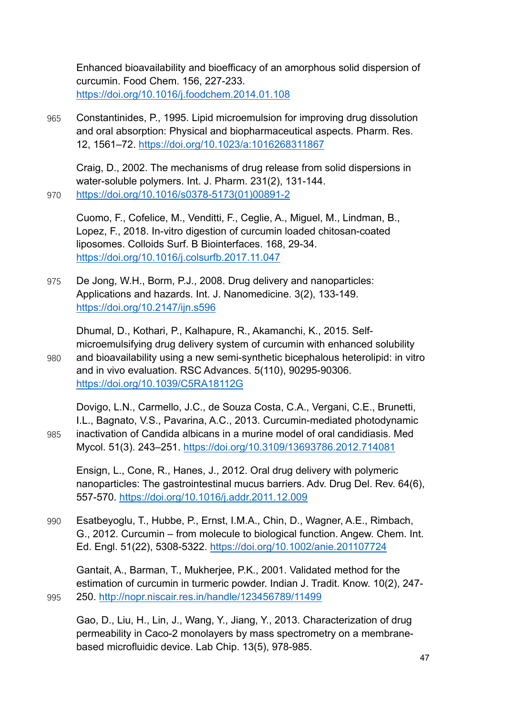Enhanced bioavailability and bioefficacy of an amorphous solid dispersion of curcumin. Food Chem. 156, 227-233. <https://doi.org/10.1016/j.foodchem.2014.01.108>

965 Constantinides, P., 1995. Lipid microemulsion for improving drug dissolution and oral absorption: Physical and biopharmaceutical aspects. Pharm. Res. 12, 1561–72.<https://doi.org/10.1023/a:1016268311867>

Craig, D., 2002. The mechanisms of drug release from solid dispersions in water-soluble polymers. Int. J. Pharm. 231(2), 131-144. 970 [https://doi.org/10.1016/s0378-5173\(01\)00891-2](https://doi.org/10.1016/s0378-5173(01)00891-2)

Cuomo, F., Cofelice, M., Venditti, F., Ceglie, A., Miguel, M., Lindman, B., Lopez, F., 2018. In-vitro digestion of curcumin loaded chitosan-coated liposomes. Colloids Surf. B Biointerfaces. 168, 29-34. <https://doi.org/10.1016/j.colsurfb.2017.11.047>

975 De Jong, W.H., Borm, P.J., 2008. Drug delivery and nanoparticles: Applications and hazards. Int. J. Nanomedicine. 3(2), 133-149. <https://doi.org/10.2147/ijn.s596>

Dhumal, D., Kothari, P., Kalhapure, R., Akamanchi, K., 2015. Selfmicroemulsifying drug delivery system of curcumin with enhanced solubility 980 and bioavailability using a new semi-synthetic bicephalous heterolipid: in vitro and in vivo evaluation. RSC Advances. 5(110), 90295-90306. <https://doi.org/10.1039/C5RA18112G>

Dovigo, L.N., Carmello, J.C., de Souza Costa, C.A., Vergani, C.E., Brunetti, I.L., Bagnato, V.S., Pavarina, A.C., 2013. Curcumin-mediated photodynamic 985 inactivation of Candida albicans in a murine model of oral candidiasis. Med Mycol. 51(3). 243–251.<https://doi.org/10.3109/13693786.2012.714081>

Ensign, L., Cone, R., Hanes, J., 2012. Oral drug delivery with polymeric nanoparticles: The gastrointestinal mucus barriers. Adv. Drug Del. Rev. 64(6), 557-570.<https://doi.org/10.1016/j.addr.2011.12.009>

990 Esatbeyoglu, T., Hubbe, P., Ernst, I.M.A., Chin, D., Wagner, A.E., Rimbach, G., 2012. Curcumin – from molecule to biological function. Angew. Chem. Int. Ed. Engl. 51(22), 5308-5322.<https://doi.org/10.1002/anie.201107724>

Gantait, A., Barman, T., Mukherjee, P.K., 2001. Validated method for the estimation of curcumin in turmeric powder. Indian J. Tradit. Know. 10(2), 247- 995 250. <http://nopr.niscair.res.in/handle/123456789/11499>

Gao, D., Liu, H., Lin, J., Wang, Y., Jiang, Y., 2013. Characterization of drug permeability in Caco-2 monolayers by mass spectrometry on a membranebased microfluidic device. Lab Chip. 13(5), 978-985.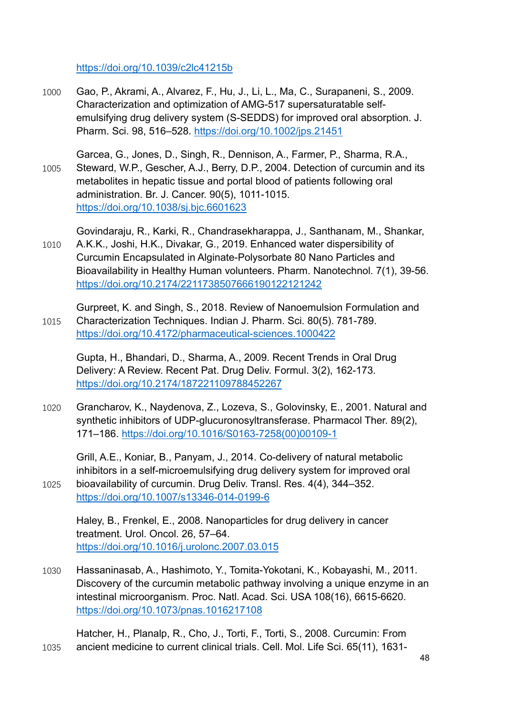<https://doi.org/10.1039/c2lc41215b>

- 1000 Gao, P., Akrami, A., Alvarez, F., Hu, J., Li, L., Ma, C., Surapaneni, S., 2009. Characterization and optimization of AMG-517 supersaturatable selfemulsifying drug delivery system (S-SEDDS) for improved oral absorption. J. Pharm. Sci. 98, 516–528.<https://doi.org/10.1002/jps.21451>
- Garcea, G., Jones, D., Singh, R., Dennison, A., Farmer, P., Sharma, R.A., 1005 Steward, W.P., Gescher, A.J., Berry, D.P., 2004. Detection of curcumin and its metabolites in hepatic tissue and portal blood of patients following oral administration. Br. J. Cancer. 90(5), 1011-1015. <https://doi.org/10.1038/sj.bjc.6601623>

Govindaraju, R., Karki, R., Chandrasekharappa, J., Santhanam, M., Shankar,

1010 A.K.K., Joshi, H.K., Divakar, G., 2019. Enhanced water dispersibility of Curcumin Encapsulated in Alginate-Polysorbate 80 Nano Particles and Bioavailability in Healthy Human volunteers. Pharm. Nanotechnol. 7(1), 39-56. <https://doi.org/10.2174/2211738507666190122121242>

Gurpreet, K. and Singh, S., 2018. Review of Nanoemulsion Formulation and 1015 Characterization Techniques. Indian J. Pharm. Sci. 80(5). 781-789. <https://doi.org/10.4172/pharmaceutical-sciences.1000422>

Gupta, H., Bhandari, D., Sharma, A., 2009. Recent Trends in Oral Drug Delivery: A Review. Recent Pat. Drug Deliv. Formul. 3(2), 162-173. <https://doi.org/10.2174/187221109788452267>

1020 Grancharov, K., Naydenova, Z., Lozeva, S., Golovinsky, E., 2001. Natural and synthetic inhibitors of UDP-glucuronosyltransferase. Pharmacol Ther. 89(2), 171–186. [https://doi.org/10.1016/S0163-7258\(00\)00109-1](https://doi.org/10.1016/S0163-7258(00)00109-1)

Grill, A.E., Koniar, B., Panyam, J., 2014. Co-delivery of natural metabolic inhibitors in a self-microemulsifying drug delivery system for improved oral 1025 bioavailability of curcumin. Drug Deliv. Transl. Res. 4(4), 344–352. <https://doi.org/10.1007/s13346-014-0199-6>

Haley, B., Frenkel, E., 2008. Nanoparticles for drug delivery in cancer treatment. Urol. Oncol. 26, 57–64. <https://doi.org/10.1016/j.urolonc.2007.03.015>

1030 Hassaninasab, A., Hashimoto, Y., Tomita-Yokotani, K., Kobayashi, M., 2011. Discovery of the curcumin metabolic pathway involving a unique enzyme in an intestinal microorganism. Proc. Natl. Acad. Sci. USA 108(16), 6615-6620. <https://doi.org/10.1073/pnas.1016217108>

Hatcher, H., Planalp, R., Cho, J., Torti, F., Torti, S., 2008. Curcumin: From 1035 ancient medicine to current clinical trials. Cell. Mol. Life Sci. 65(11), 1631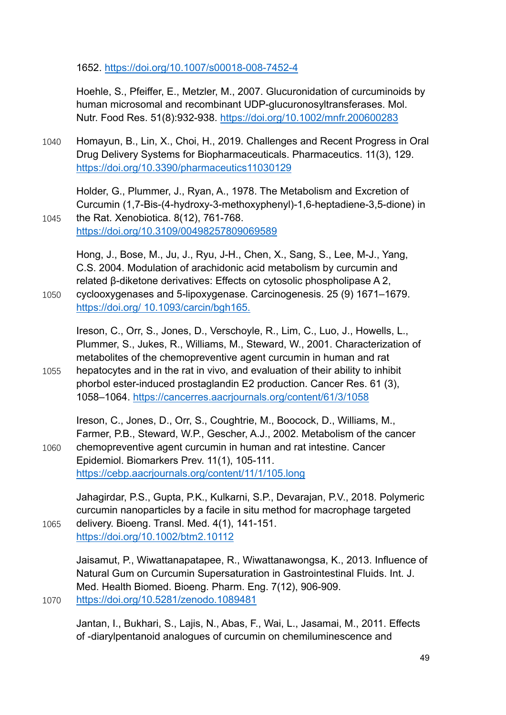1652.<https://doi.org/10.1007/s00018-008-7452-4>

Hoehle, S., Pfeiffer, E., Metzler, M., 2007. Glucuronidation of curcuminoids by human microsomal and recombinant UDP-glucuronosyltransferases. Mol. Nutr. Food Res. 51(8):932-938.<https://doi.org/10.1002/mnfr.200600283>

1040 Homayun, B., Lin, X., Choi, H., 2019. Challenges and Recent Progress in Oral Drug Delivery Systems for Biopharmaceuticals. Pharmaceutics. 11(3), 129. <https://doi.org/10.3390/pharmaceutics11030129>

Holder, G., Plummer, J., Ryan, A., 1978. The Metabolism and Excretion of Curcumin (1,7-Bis-(4-hydroxy-3-methoxyphenyl)-1,6-heptadiene-3,5-dione) in 1045 the Rat. Xenobiotica. 8(12), 761-768.

<https://doi.org/10.3109/00498257809069589>

Hong, J., Bose, M., Ju, J., Ryu, J-H., Chen, X., Sang, S., Lee, M-J., Yang, C.S. 2004. Modulation of arachidonic acid metabolism by curcumin and related β-diketone derivatives: Effects on cytosolic phospholipase A 2, 1050 cyclooxygenases and 5-lipoxygenase. Carcinogenesis. 25 (9) 1671–1679. [https://doi.org/ 10.1093/carcin/bgh165.](https://doi.org/%2010.1093/carcin/bgh165.)

Ireson, C., Orr, S., Jones, D., Verschoyle, R., Lim, C., Luo, J., Howells, L., Plummer, S., Jukes, R., Williams, M., Steward, W., 2001. Characterization of metabolites of the chemopreventive agent curcumin in human and rat 1055 hepatocytes and in the rat in vivo, and evaluation of their ability to inhibit phorbol ester-induced prostaglandin E2 production. Cancer Res. 61 (3), 1058–1064.<https://cancerres.aacrjournals.org/content/61/3/1058>

Ireson, C., Jones, D., Orr, S., Coughtrie, M., Boocock, D., Williams, M., Farmer, P.B., Steward, W.P., Gescher, A.J., 2002. Metabolism of the cancer 1060 chemopreventive agent curcumin in human and rat intestine. Cancer

Epidemiol. Biomarkers Prev. 11(1), 105-111. <https://cebp.aacrjournals.org/content/11/1/105.long>

Jahagirdar, P.S., Gupta, P.K., Kulkarni, S.P., Devarajan, P.V., 2018. Polymeric curcumin nanoparticles by a facile in situ method for macrophage targeted 1065 delivery. Bioeng. Transl. Med. 4(1), 141-151.

<https://doi.org/10.1002/btm2.10112>

Jaisamut, P., Wiwattanapatapee, R., Wiwattanawongsa, K., 2013. Influence of Natural Gum on Curcumin Supersaturation in Gastrointestinal Fluids. Int. J. Med. Health Biomed. Bioeng. Pharm. Eng. 7(12), 906-909. 1070 <https://doi.org/10.5281/zenodo.1089481>

Jantan, I., Bukhari, S., Lajis, N., Abas, F., Wai, L., Jasamai, M., 2011. Effects of -diarylpentanoid analogues of curcumin on chemiluminescence and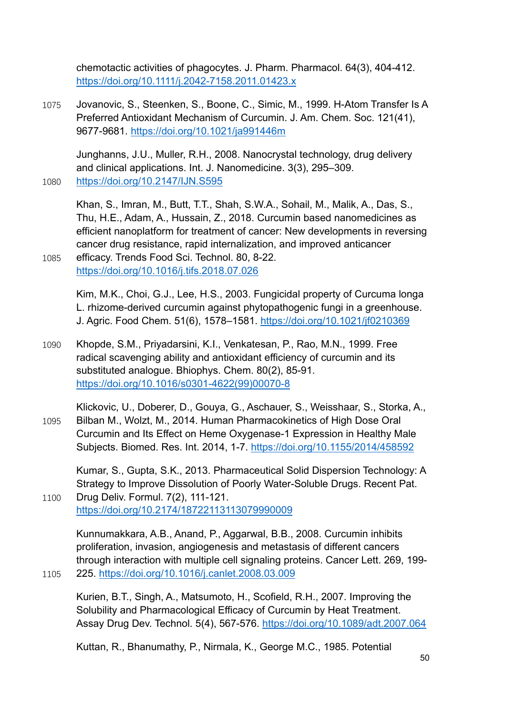chemotactic activities of phagocytes. J. Pharm. Pharmacol. 64(3), 404-412. <https://doi.org/10.1111/j.2042-7158.2011.01423.x>

1075 Jovanovic, S., Steenken, S., Boone, C., Simic, M., 1999. H-Atom Transfer Is A Preferred Antioxidant Mechanism of Curcumin. J. Am. Chem. Soc. 121(41), 9677-9681.<https://doi.org/10.1021/ja991446m>

Junghanns, J.U., Muller, R.H., 2008. Nanocrystal technology, drug delivery and clinical applications. Int. J. Nanomedicine. 3(3), 295–309. 1080 <https://doi.org/10.2147/IJN.S595>

Khan, S., Imran, M., Butt, T.T., Shah, S.W.A., Sohail, M., Malik, A., Das, S., Thu, H.E., Adam, A., Hussain, Z., 2018. Curcumin based nanomedicines as efficient nanoplatform for treatment of cancer: New developments in reversing cancer drug resistance, rapid internalization, and improved anticancer 1085 efficacy. Trends Food Sci. Technol. 80, 8-22.

<https://doi.org/10.1016/j.tifs.2018.07.026>

Kim, M.K., Choi, G.J., Lee, H.S., 2003. Fungicidal property of Curcuma longa L. rhizome-derived curcumin against phytopathogenic fungi in a greenhouse. J. Agric. Food Chem. 51(6), 1578–1581.<https://doi.org/10.1021/jf0210369>

1090 Khopde, S.M., Priyadarsini, K.I., Venkatesan, P., Rao, M.N., 1999. Free radical scavenging ability and antioxidant efficiency of curcumin and its substituted analogue. Bhiophys. Chem. 80(2), 85-91. [https://doi.org/10.1016/s0301-4622\(99\)00070-8](https://doi.org/10.1016/s0301-4622(99)00070-8)

Klickovic, U., Doberer, D., Gouya, G., Aschauer, S., Weisshaar, S., Storka, A., 1095 Bilban M., Wolzt, M., 2014. Human Pharmacokinetics of High Dose Oral Curcumin and Its Effect on Heme Oxygenase-1 Expression in Healthy Male Subjects. Biomed. Res. Int. 2014, 1-7.<https://doi.org/10.1155/2014/458592>

Kumar, S., Gupta, S.K., 2013. Pharmaceutical Solid Dispersion Technology: A Strategy to Improve Dissolution of Poorly Water-Soluble Drugs. Recent Pat. 1100 Drug Deliv. Formul. 7(2), 111-121.

<https://doi.org/10.2174/18722113113079990009>

Kunnumakkara, A.B., Anand, P., Aggarwal, B.B., 2008. Curcumin inhibits proliferation, invasion, angiogenesis and metastasis of different cancers through interaction with multiple cell signaling proteins. Cancer Lett. 269, 199- 1105 225.<https://doi.org/10.1016/j.canlet.2008.03.009>

Kurien, B.T., Singh, A., Matsumoto, H., Scofield, R.H., 2007. Improving the Solubility and Pharmacological Efficacy of Curcumin by Heat Treatment. Assay Drug Dev. Technol. 5(4), 567-576.<https://doi.org/10.1089/adt.2007.064>

Kuttan, R., Bhanumathy, P., Nirmala, K., George M.C., 1985. Potential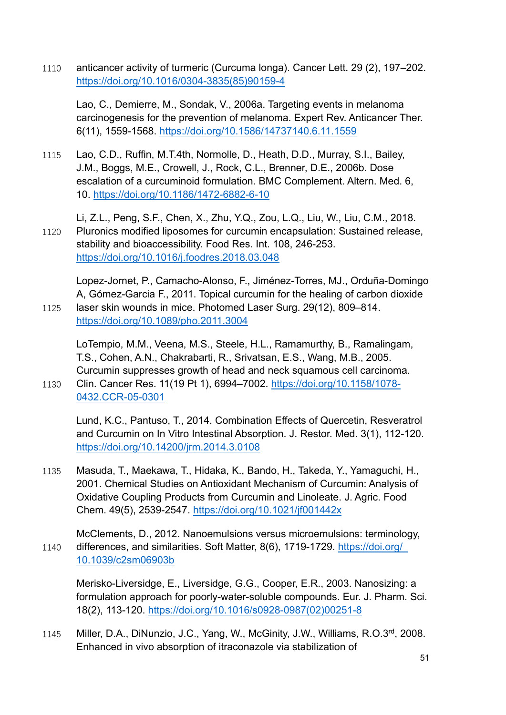1110 anticancer activity of turmeric (Curcuma longa). Cancer Lett. 29 (2), 197–202. [https://doi.org/10.1016/0304-3835\(85\)90159-4](https://doi.org/10.1016/0304-3835(85)90159-4)

Lao, C., Demierre, M., Sondak, V., 2006a. Targeting events in melanoma carcinogenesis for the prevention of melanoma. Expert Rev. Anticancer Ther. 6(11), 1559-1568.<https://doi.org/10.1586/14737140.6.11.1559>

1115 Lao, C.D., Ruffin, M.T.4th, Normolle, D., Heath, D.D., Murray, S.I., Bailey, J.M., Boggs, M.E., Crowell, J., Rock, C.L., Brenner, D.E., 2006b. Dose escalation of a curcuminoid formulation. BMC Complement. Altern. Med. 6, 10.<https://doi.org/10.1186/1472-6882-6-10>

Li, Z.L., Peng, S.F., Chen, X., Zhu, Y.Q., Zou, L.Q., Liu, W., Liu, C.M., 2018. 1120 Pluronics modified liposomes for curcumin encapsulation: Sustained release, stability and bioaccessibility. Food Res. Int. 108, 246-253. <https://doi.org/10.1016/j.foodres.2018.03.048>

Lopez-Jornet, P., Camacho-Alonso, F., Jiménez-Torres, MJ., Orduña-Domingo A, Gómez-Garcia F., 2011. Topical curcumin for the healing of carbon dioxide 1125 laser skin wounds in mice. Photomed Laser Surg. 29(12), 809–814. <https://doi.org/10.1089/pho.2011.3004>

LoTempio, M.M., Veena, M.S., Steele, H.L., Ramamurthy, B., Ramalingam, T.S., Cohen, A.N., Chakrabarti, R., Srivatsan, E.S., Wang, M.B., 2005. Curcumin suppresses growth of head and neck squamous cell carcinoma.

1130 Clin. Cancer Res. 11(19 Pt 1), 6994–7002. [https://doi.org/10.1158/1078-](https://doi.org/10.1158/1078-0432.CCR-05-0301) [0432.CCR-05-0301](https://doi.org/10.1158/1078-0432.CCR-05-0301)

Lund, K.C., Pantuso, T., 2014. Combination Effects of Quercetin, Resveratrol and Curcumin on In Vitro Intestinal Absorption. J. Restor. Med. 3(1), 112-120. <https://doi.org/10.14200/jrm.2014.3.0108>

1135 Masuda, T., Maekawa, T., Hidaka, K., Bando, H., Takeda, Y., Yamaguchi, H., 2001. Chemical Studies on Antioxidant Mechanism of Curcumin: Analysis of Oxidative Coupling Products from Curcumin and Linoleate. J. Agric. Food Chem. 49(5), 2539-2547.<https://doi.org/10.1021/jf001442x>

McClements, D., 2012. Nanoemulsions versus microemulsions: terminology, 1140 differences, and similarities. Soft Matter, 8(6), 1719-1729. [https://doi.org/](https://doi.org/%2010.1039/c2sm06903b)  [10.1039/c2sm06903b](https://doi.org/%2010.1039/c2sm06903b)

Merisko-Liversidge, E., Liversidge, G.G., Cooper, E.R., 2003. Nanosizing: a formulation approach for poorly-water-soluble compounds. Eur. J. Pharm. Sci. 18(2), 113-120. [https://doi.org/10.1016/s0928-0987\(02\)00251-8](https://doi.org/10.1016/s0928-0987(02)00251-8)

1145 Miller, D.A., DiNunzio, J.C., Yang, W., McGinity, J.W., Williams, R.O.3rd, 2008. Enhanced in vivo absorption of itraconazole via stabilization of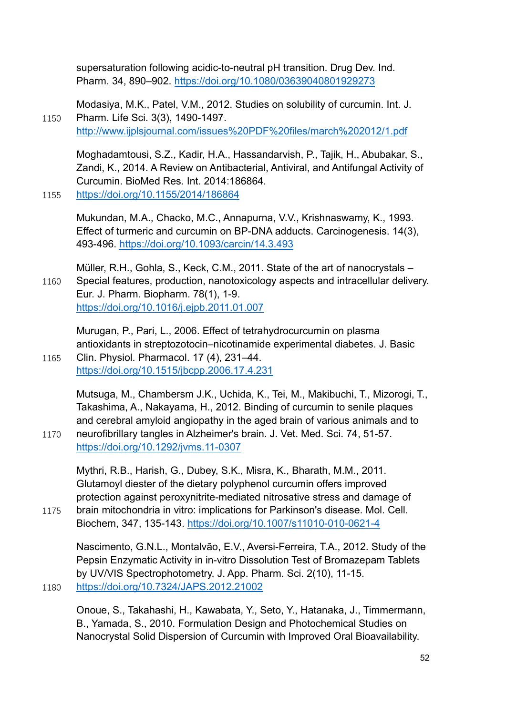supersaturation following acidic-to-neutral pH transition. Drug Dev. Ind. Pharm. 34, 890–902.<https://doi.org/10.1080/03639040801929273>

Modasiya, M.K., Patel, V.M., 2012. Studies on solubility of curcumin. Int. J. 1150 Pharm. Life Sci. 3(3), 1490-1497. <http://www.ijplsjournal.com/issues%20PDF%20files/march%202012/1.pdf>

Moghadamtousi, S.Z., Kadir, H.A., Hassandarvish, P., Tajik, H., Abubakar, S., Zandi, K., 2014. A Review on Antibacterial, Antiviral, and Antifungal Activity of Curcumin. BioMed Res. Int. 2014:186864.

1155 <https://doi.org/10.1155/2014/186864>

Mukundan, M.A., Chacko, M.C., Annapurna, V.V., Krishnaswamy, K., 1993. Effect of turmeric and curcumin on BP-DNA adducts. Carcinogenesis. 14(3), 493-496.<https://doi.org/10.1093/carcin/14.3.493>

Müller, R.H., Gohla, S., Keck, C.M., 2011. State of the art of nanocrystals – 1160 Special features, production, nanotoxicology aspects and intracellular delivery. Eur. J. Pharm. Biopharm. 78(1), 1-9. <https://doi.org/10.1016/j.ejpb.2011.01.007>

Murugan, P., Pari, L., 2006. Effect of tetrahydrocurcumin on plasma antioxidants in streptozotocin–nicotinamide experimental diabetes. J. Basic 1165 Clin. Physiol. Pharmacol. 17 (4), 231–44.

<https://doi.org/10.1515/jbcpp.2006.17.4.231>

Mutsuga, M., Chambersm J.K., Uchida, K., Tei, M., Makibuchi, T., Mizorogi, T., Takashima, A., Nakayama, H., 2012. Binding of curcumin to senile plaques and cerebral amyloid angiopathy in the aged brain of various animals and to 1170 neurofibrillary tangles in Alzheimer's brain. J. Vet. Med. Sci. 74, 51-57.

<https://doi.org/10.1292/jvms.11-0307>

Mythri, R.B., Harish, G., Dubey, S.K., Misra, K., Bharath, M.M., 2011. Glutamoyl diester of the dietary polyphenol curcumin offers improved protection against peroxynitrite-mediated nitrosative stress and damage of

1175 brain mitochondria in vitro: implications for Parkinson's disease. Mol. Cell. Biochem, 347, 135-143.<https://doi.org/10.1007/s11010-010-0621-4>

Nascimento, G.N.L., Montalvão, E.V., Aversi-Ferreira, T.A., 2012. Study of the Pepsin Enzymatic Activity in in-vitro Dissolution Test of Bromazepam Tablets by UV/VIS Spectrophotometry. J. App. Pharm. Sci. 2(10), 11-15. 1180 <https://doi.org/10.7324/JAPS.2012.21002>

Onoue, S., Takahashi, H., Kawabata, Y., Seto, Y., Hatanaka, J., Timmermann, B., Yamada, S., 2010. Formulation Design and Photochemical Studies on Nanocrystal Solid Dispersion of Curcumin with Improved Oral Bioavailability.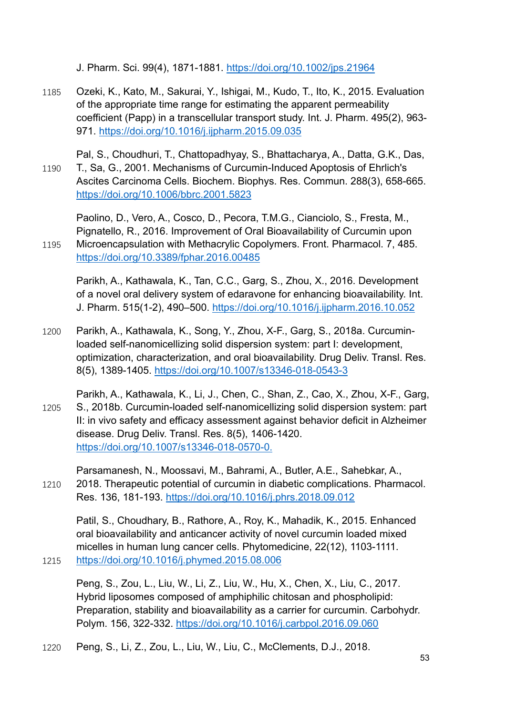J. Pharm. Sci. 99(4), 1871-1881.<https://doi.org/10.1002/jps.21964>

- 1185 Ozeki, K., Kato, M., Sakurai, Y., Ishigai, M., Kudo, T., Ito, K., 2015. Evaluation of the appropriate time range for estimating the apparent permeability coefficient (Papp) in a transcellular transport study. Int. J. Pharm. 495(2), 963- 971.<https://doi.org/10.1016/j.ijpharm.2015.09.035>
- Pal, S., Choudhuri, T., Chattopadhyay, S., Bhattacharya, A., Datta, G.K., Das, 1190 T., Sa, G., 2001. Mechanisms of Curcumin-Induced Apoptosis of Ehrlich's Ascites Carcinoma Cells. Biochem. Biophys. Res. Commun. 288(3), 658-665. <https://doi.org/10.1006/bbrc.2001.5823>

Paolino, D., Vero, A., Cosco, D., Pecora, T.M.G., Cianciolo, S., Fresta, M., Pignatello, R., 2016. Improvement of Oral Bioavailability of Curcumin upon 1195 Microencapsulation with Methacrylic Copolymers. Front. Pharmacol. 7, 485. <https://doi.org/10.3389/fphar.2016.00485>

Parikh, A., Kathawala, K., Tan, C.C., Garg, S., Zhou, X., 2016. Development of a novel oral delivery system of edaravone for enhancing bioavailability. Int. J. Pharm. 515(1-2), 490–500.<https://doi.org/10.1016/j.ijpharm.2016.10.052>

- 1200 Parikh, A., Kathawala, K., Song, Y., Zhou, X-F., Garg, S., 2018a. Curcuminloaded self-nanomicellizing solid dispersion system: part I: development, optimization, characterization, and oral bioavailability. Drug Deliv. Transl. Res. 8(5), 1389-1405.<https://doi.org/10.1007/s13346-018-0543-3>
- Parikh, A., Kathawala, K., Li, J., Chen, C., Shan, Z., Cao, X., Zhou, X-F., Garg, 1205 S., 2018b. Curcumin-loaded self-nanomicellizing solid dispersion system: part II: in vivo safety and efficacy assessment against behavior deficit in Alzheimer disease. Drug Deliv. Transl. Res. 8(5), 1406-1420. <https://doi.org/10.1007/s13346-018-0570-0.>
- Parsamanesh, N., Moossavi, M., Bahrami, A., Butler, A.E., Sahebkar, A., 1210 2018. Therapeutic potential of curcumin in diabetic complications. Pharmacol. Res. 136, 181-193.<https://doi.org/10.1016/j.phrs.2018.09.012>

Patil, S., Choudhary, B., Rathore, A., Roy, K., Mahadik, K., 2015. Enhanced oral bioavailability and anticancer activity of novel curcumin loaded mixed micelles in human lung cancer cells. Phytomedicine, 22(12), 1103-1111. 1215 <https://doi.org/10.1016/j.phymed.2015.08.006>

Peng, S., Zou, L., Liu, W., Li, Z., Liu, W., Hu, X., Chen, X., Liu, C., 2017. Hybrid liposomes composed of amphiphilic chitosan and phospholipid: Preparation, stability and bioavailability as a carrier for curcumin. Carbohydr. Polym. 156, 322-332.<https://doi.org/10.1016/j.carbpol.2016.09.060>

1220 Peng, S., Li, Z., Zou, L., Liu, W., Liu, C., McClements, D.J., 2018.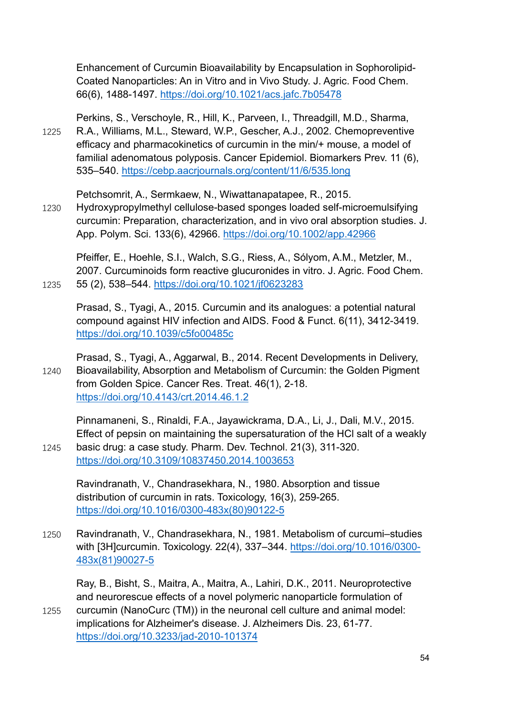Enhancement of Curcumin Bioavailability by Encapsulation in Sophorolipid-Coated Nanoparticles: An in Vitro and in Vivo Study. J. Agric. Food Chem. 66(6), 1488-1497.<https://doi.org/10.1021/acs.jafc.7b05478>

Perkins, S., Verschoyle, R., Hill, K., Parveen, I., Threadgill, M.D., Sharma, 1225 R.A., Williams, M.L., Steward, W.P., Gescher, A.J., 2002. Chemopreventive efficacy and pharmacokinetics of curcumin in the min/+ mouse, a model of familial adenomatous polyposis. Cancer Epidemiol. Biomarkers Prev. 11 (6), 535–540.<https://cebp.aacrjournals.org/content/11/6/535.long>

Petchsomrit, A., Sermkaew, N., Wiwattanapatapee, R., 2015.

1230 Hydroxypropylmethyl cellulose-based sponges loaded self-microemulsifying curcumin: Preparation, characterization, and in vivo oral absorption studies. J. App. Polym. Sci. 133(6), 42966.<https://doi.org/10.1002/app.42966>

Pfeiffer, E., Hoehle, S.I., Walch, S.G., Riess, A., Sólyom, A.M., Metzler, M., 2007. Curcuminoids form reactive glucuronides in vitro. J. Agric. Food Chem. 1235 55 (2), 538–544.<https://doi.org/10.1021/jf0623283>

Prasad, S., Tyagi, A., 2015. Curcumin and its analogues: a potential natural compound against HIV infection and AIDS. Food & Funct. 6(11), 3412-3419. <https://doi.org/10.1039/c5fo00485c>

Prasad, S., Tyagi, A., Aggarwal, B., 2014. Recent Developments in Delivery, 1240 Bioavailability, Absorption and Metabolism of Curcumin: the Golden Pigment from Golden Spice. Cancer Res. Treat. 46(1), 2-18. <https://doi.org/10.4143/crt.2014.46.1.2>

Pinnamaneni, S., Rinaldi, F.A., Jayawickrama, D.A., Li, J., Dali, M.V., 2015. Effect of pepsin on maintaining the supersaturation of the HCl salt of a weakly 1245 basic drug: a case study. Pharm. Dev. Technol. 21(3), 311-320.

<https://doi.org/10.3109/10837450.2014.1003653>

Ravindranath, V., Chandrasekhara, N., 1980. Absorption and tissue distribution of curcumin in rats. Toxicology, 16(3), 259-265. [https://doi.org/10.1016/0300-483x\(80\)90122-5](https://doi.org/10.1016/0300-483x(80)90122-5)

1250 Ravindranath, V., Chandrasekhara, N., 1981. Metabolism of curcumi–studies with [3H]curcumin. Toxicology. 22(4), 337–344. [https://doi.org/10.1016/0300-](https://doi.org/10.1016/0300-483x(81)90027-5) [483x\(81\)90027-5](https://doi.org/10.1016/0300-483x(81)90027-5)

Ray, B., Bisht, S., Maitra, A., Maitra, A., Lahiri, D.K., 2011. Neuroprotective and neurorescue effects of a novel polymeric nanoparticle formulation of

1255 curcumin (NanoCurc (TM)) in the neuronal cell culture and animal model: implications for Alzheimer's disease. J. Alzheimers Dis. 23, 61-77. <https://doi.org/10.3233/jad-2010-101374>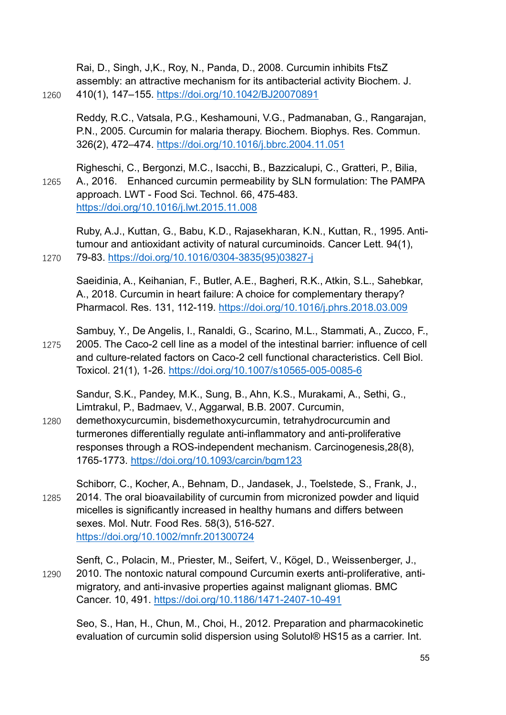Rai, D., Singh, J,K., Roy, N., Panda, D., 2008. Curcumin inhibits FtsZ assembly: an attractive mechanism for its antibacterial activity Biochem. J. 1260 410(1), 147–155.<https://doi.org/10.1042/BJ20070891>

Reddy, R.C., Vatsala, P.G., Keshamouni, V.G., Padmanaban, G., Rangarajan, P.N., 2005. Curcumin for malaria therapy. Biochem. Biophys. Res. Commun. 326(2), 472–474.<https://doi.org/10.1016/j.bbrc.2004.11.051>

Righeschi, C., Bergonzi, M.C., Isacchi, B., Bazzicalupi, C., Gratteri, P., Bilia, 1265 A., 2016. Enhanced curcumin permeability by SLN formulation: The PAMPA approach. LWT - Food Sci. Technol. 66, 475-483. <https://doi.org/10.1016/j.lwt.2015.11.008>

Ruby, A.J., Kuttan, G., Babu, K.D., Rajasekharan, K.N., Kuttan, R., 1995. Antitumour and antioxidant activity of natural curcuminoids. Cancer Lett. 94(1), 1270 79-83. [https://doi.org/10.1016/0304-3835\(95\)03827-j](https://doi.org/10.1016/0304-3835(95)03827-j)

Saeidinia, A., Keihanian, F., Butler, A.E., Bagheri, R.K., Atkin, S.L., Sahebkar, A., 2018. Curcumin in heart failure: A choice for complementary therapy? Pharmacol. Res. 131, 112-119. <https://doi.org/10.1016/j.phrs.2018.03.009>

Sambuy, Y., De Angelis, I., Ranaldi, G., Scarino, M.L., Stammati, A., Zucco, F., 1275 2005. The Caco-2 cell line as a model of the intestinal barrier: influence of cell and culture-related factors on Caco-2 cell functional characteristics. Cell Biol. Toxicol. 21(1), 1-26.<https://doi.org/10.1007/s10565-005-0085-6>

Sandur, S.K., Pandey, M.K., Sung, B., Ahn, K.S., Murakami, A., Sethi, G., Limtrakul, P., Badmaev, V., Aggarwal, B.B. 2007. Curcumin,

1280 demethoxycurcumin, bisdemethoxycurcumin, tetrahydrocurcumin and turmerones differentially regulate anti-inflammatory and anti-proliferative responses through a ROS-independent mechanism. Carcinogenesis,28(8), 1765-1773.<https://doi.org/10.1093/carcin/bgm123>

Schiborr, C., Kocher, A., Behnam, D., Jandasek, J., Toelstede, S., Frank, J., 1285 2014. The oral bioavailability of curcumin from micronized powder and liquid micelles is significantly increased in healthy humans and differs between sexes. Mol. Nutr. Food Res. 58(3), 516-527. <https://doi.org/10.1002/mnfr.201300724>

Senft, C., Polacin, M., Priester, M., Seifert, V., Kögel, D., Weissenberger, J., 1290 2010. The nontoxic natural compound Curcumin exerts anti-proliferative, antimigratory, and anti-invasive properties against malignant gliomas. BMC Cancer. 10, 491.<https://doi.org/10.1186/1471-2407-10-491>

Seo, S., Han, H., Chun, M., Choi, H., 2012. Preparation and pharmacokinetic evaluation of curcumin solid dispersion using Solutol® HS15 as a carrier. Int.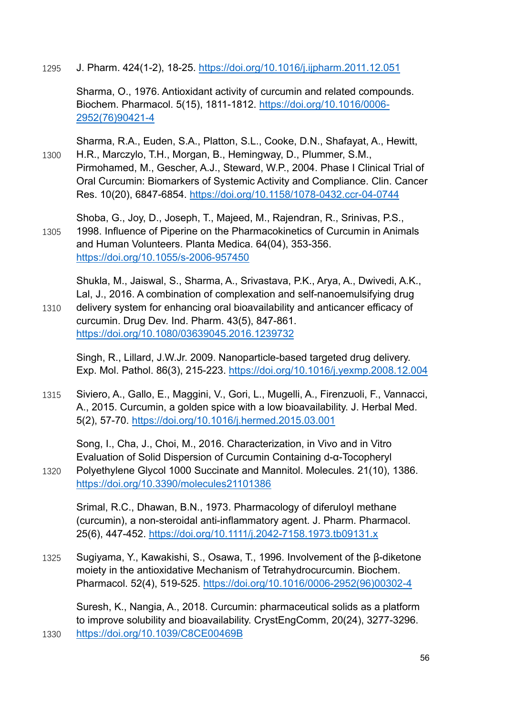1295 J. Pharm. 424(1-2), 18-25.<https://doi.org/10.1016/j.ijpharm.2011.12.051>

Sharma, O., 1976. Antioxidant activity of curcumin and related compounds. Biochem. Pharmacol. 5(15), 1811-1812. [https://doi.org/10.1016/0006-](https://doi.org/10.1016/0006-2952(76)90421-4) [2952\(76\)90421-4](https://doi.org/10.1016/0006-2952(76)90421-4)

Sharma, R.A., Euden, S.A., Platton, S.L., Cooke, D.N., Shafayat, A., Hewitt, 1300 H.R., Marczylo, T.H., Morgan, B., Hemingway, D., Plummer, S.M., Pirmohamed, M., Gescher, A.J., Steward, W.P., 2004. Phase I Clinical Trial of Oral Curcumin: Biomarkers of Systemic Activity and Compliance. Clin. Cancer Res. 10(20), 6847-6854.<https://doi.org/10.1158/1078-0432.ccr-04-0744>

Shoba, G., Joy, D., Joseph, T., Majeed, M., Rajendran, R., Srinivas, P.S., 1305 1998. Influence of Piperine on the Pharmacokinetics of Curcumin in Animals and Human Volunteers. Planta Medica. 64(04), 353-356. <https://doi.org/10.1055/s-2006-957450>

Shukla, M., Jaiswal, S., Sharma, A., Srivastava, P.K., Arya, A., Dwivedi, A.K., Lal, J., 2016. A combination of complexation and self-nanoemulsifying drug 1310 delivery system for enhancing oral bioavailability and anticancer efficacy of curcumin. Drug Dev. Ind. Pharm. 43(5), 847-861.

<https://doi.org/10.1080/03639045.2016.1239732>

Singh, R., Lillard, J.W.Jr. 2009. Nanoparticle-based targeted drug delivery. Exp. Mol. Pathol. 86(3), 215-223.<https://doi.org/10.1016/j.yexmp.2008.12.004>

1315 Siviero, A., Gallo, E., Maggini, V., Gori, L., Mugelli, A., Firenzuoli, F., Vannacci, A., 2015. Curcumin, a golden spice with a low bioavailability. J. Herbal Med. 5(2), 57-70.<https://doi.org/10.1016/j.hermed.2015.03.001>

Song, I., Cha, J., Choi, M., 2016. Characterization, in Vivo and in Vitro Evaluation of Solid Dispersion of Curcumin Containing d-α-Tocopheryl 1320 Polyethylene Glycol 1000 Succinate and Mannitol. Molecules. 21(10), 1386. <https://doi.org/10.3390/molecules21101386>

Srimal, R.C., Dhawan, B.N., 1973. Pharmacology of diferuloyl methane (curcumin), a non-steroidal anti-inflammatory agent. J. Pharm. Pharmacol. 25(6), 447-452.<https://doi.org/10.1111/j.2042-7158.1973.tb09131.x>

1325 Sugiyama, Y., Kawakishi, S., Osawa, T., 1996. Involvement of the β-diketone moiety in the antioxidative Mechanism of Tetrahydrocurcumin. Biochem. Pharmacol. 52(4), 519-525. [https://doi.org/10.1016/0006-2952\(96\)00302-4](https://doi.org/10.1016/0006-2952(96)00302-4)

Suresh, K., Nangia, A., 2018. Curcumin: pharmaceutical solids as a platform to improve solubility and bioavailability. CrystEngComm, 20(24), 3277-3296. 1330 <https://doi.org/10.1039/C8CE00469B>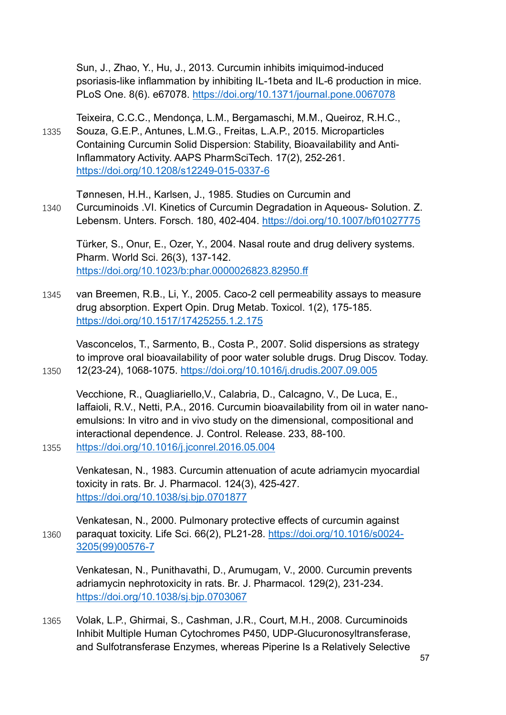Sun, J., Zhao, Y., Hu, J., 2013. Curcumin inhibits imiquimod-induced psoriasis-like inflammation by inhibiting IL-1beta and IL-6 production in mice. PLoS One. 8(6). e67078.<https://doi.org/10.1371/journal.pone.0067078>

Teixeira, C.C.C., Mendonça, L.M., Bergamaschi, M.M., Queiroz, R.H.C., 1335 Souza, G.E.P., Antunes, L.M.G., Freitas, L.A.P., 2015. Microparticles Containing Curcumin Solid Dispersion: Stability, Bioavailability and Anti-Inflammatory Activity. AAPS PharmSciTech. 17(2), 252-261. <https://doi.org/10.1208/s12249-015-0337-6>

Tønnesen, H.H., Karlsen, J., 1985. Studies on Curcumin and

1340 Curcuminoids .VI. Kinetics of Curcumin Degradation in Aqueous- Solution. Z. Lebensm. Unters. Forsch. 180, 402-404.<https://doi.org/10.1007/bf01027775>

Türker, S., Onur, E., Ozer, Y., 2004. Nasal route and drug delivery systems. Pharm. World Sci. 26(3), 137-142. <https://doi.org/10.1023/b:phar.0000026823.82950.ff>

1345 van Breemen, R.B., Li, Y., 2005. Caco-2 cell permeability assays to measure drug absorption. Expert Opin. Drug Metab. Toxicol. 1(2), 175-185. <https://doi.org/10.1517/17425255.1.2.175>

Vasconcelos, T., Sarmento, B., Costa P., 2007. Solid dispersions as strategy to improve oral bioavailability of poor water soluble drugs. Drug Discov. Today. 1350 12(23-24), 1068-1075.<https://doi.org/10.1016/j.drudis.2007.09.005>

Vecchione, R., Quagliariello,V., Calabria, D., Calcagno, V., De Luca, E., Iaffaioli, R.V., Netti, P.A., 2016. Curcumin bioavailability from oil in water nanoemulsions: In vitro and in vivo study on the dimensional, compositional and interactional dependence. J. Control. Release. 233, 88-100. 1355 <https://doi.org/10.1016/j.jconrel.2016.05.004>

Venkatesan, N., 1983. Curcumin attenuation of acute adriamycin myocardial toxicity in rats. Br. J. Pharmacol. 124(3), 425-427. <https://doi.org/10.1038/sj.bjp.0701877>

Venkatesan, N., 2000. Pulmonary protective effects of curcumin against 1360 paraquat toxicity. Life Sci. 66(2), PL21-28. [https://doi.org/10.1016/s0024-](https://doi.org/10.1016/s0024-3205(99)00576-7) [3205\(99\)00576-7](https://doi.org/10.1016/s0024-3205(99)00576-7)

Venkatesan, N., Punithavathi, D., Arumugam, V., 2000. Curcumin prevents adriamycin nephrotoxicity in rats. Br. J. Pharmacol. 129(2), 231-234. <https://doi.org/10.1038/sj.bjp.0703067>

1365 Volak, L.P., Ghirmai, S., Cashman, J.R., Court, M.H., 2008. Curcuminoids Inhibit Multiple Human Cytochromes P450, UDP-Glucuronosyltransferase, and Sulfotransferase Enzymes, whereas Piperine Is a Relatively Selective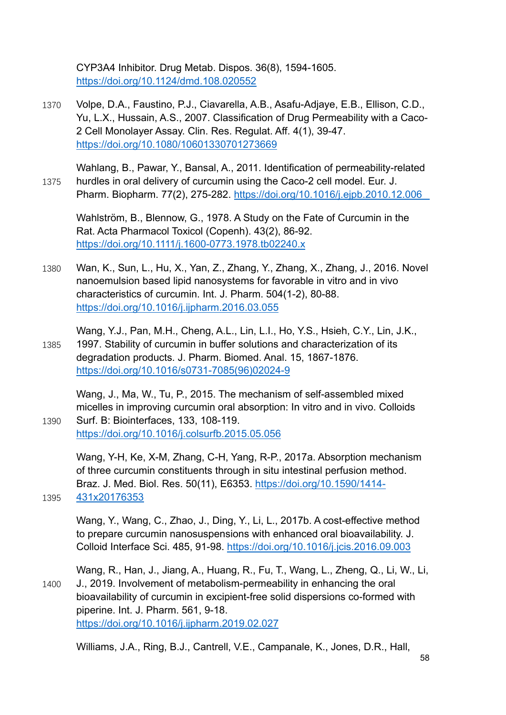CYP3A4 Inhibitor. Drug Metab. Dispos. 36(8), 1594-1605. <https://doi.org/10.1124/dmd.108.020552>

- 1370 Volpe, D.A., Faustino, P.J., Ciavarella, A.B., Asafu-Adjaye, E.B., Ellison, C.D., Yu, L.X., Hussain, A.S., 2007. Classification of Drug Permeability with a Caco-2 Cell Monolayer Assay. Clin. Res. Regulat. Aff. 4(1), 39-47. <https://doi.org/10.1080/10601330701273669>
- Wahlang, B., Pawar, Y., Bansal, A., 2011. Identification of permeability-related 1375 hurdles in oral delivery of curcumin using the Caco-2 cell model. Eur. J. Pharm. Biopharm. 77(2), 275-282.<https://doi.org/10.1016/j.ejpb.2010.12.006>

Wahlström, B., Blennow, G., 1978. A Study on the Fate of Curcumin in the Rat. Acta Pharmacol Toxicol (Copenh). 43(2), 86-92. <https://doi.org/10.1111/j.1600-0773.1978.tb02240.x>

- 1380 Wan, K., Sun, L., Hu, X., Yan, Z., Zhang, Y., Zhang, X., Zhang, J., 2016. Novel nanoemulsion based lipid nanosystems for favorable in vitro and in vivo characteristics of curcumin. Int. J. Pharm. 504(1-2), 80-88. <https://doi.org/10.1016/j.ijpharm.2016.03.055>
- Wang, Y.J., Pan, M.H., Cheng, A.L., Lin, L.I., Ho, Y.S., Hsieh, C.Y., Lin, J.K., 1385 1997. Stability of curcumin in buffer solutions and characterization of its degradation products. J. Pharm. Biomed. Anal. 15, 1867-1876. [https://doi.org/10.1016/s0731-7085\(96\)02024-9](https://doi.org/10.1016/s0731-7085(96)02024-9)
- Wang, J., Ma, W., Tu, P., 2015. The mechanism of self-assembled mixed micelles in improving curcumin oral absorption: In vitro and in vivo. Colloids 1390 Surf. B: Biointerfaces, 133, 108-119.

<https://doi.org/10.1016/j.colsurfb.2015.05.056>

Wang, Y-H, Ke, X-M, Zhang, C-H, Yang, R-P., 2017a. Absorption mechanism of three curcumin constituents through in situ intestinal perfusion method. Braz. J. Med. Biol. Res. 50(11), E6353. [https://doi.org/10.1590/1414-](https://doi.org/10.1590/1414-431x20176353) 1395 [431x20176353](https://doi.org/10.1590/1414-431x20176353)

Wang, Y., Wang, C., Zhao, J., Ding, Y., Li, L., 2017b. A cost-effective method to prepare curcumin nanosuspensions with enhanced oral bioavailability. J. Colloid Interface Sci. 485, 91-98.<https://doi.org/10.1016/j.jcis.2016.09.003>

Wang, R., Han, J., Jiang, A., Huang, R., Fu, T., Wang, L., Zheng, Q., Li, W., Li, 1400 J., 2019. Involvement of metabolism-permeability in enhancing the oral bioavailability of curcumin in excipient-free solid dispersions co-formed with piperine. Int. J. Pharm. 561, 9-18. <https://doi.org/10.1016/j.ijpharm.2019.02.027>

Williams, J.A., Ring, B.J., Cantrell, V.E., Campanale, K., Jones, D.R., Hall,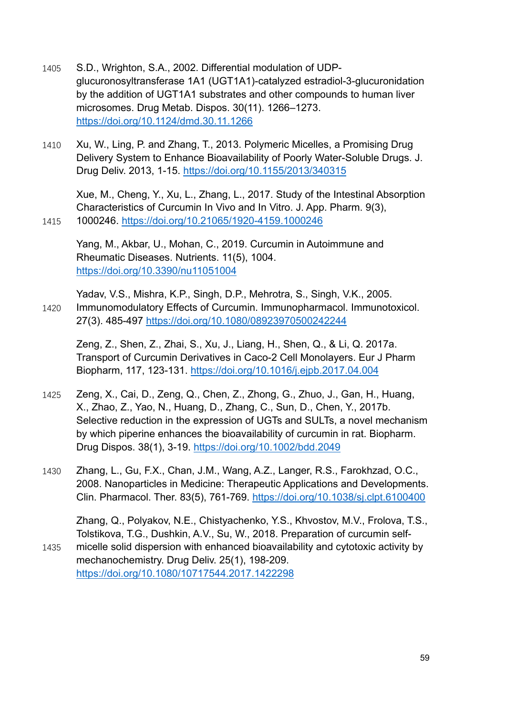- 1405 S.D., Wrighton, S.A., 2002. Differential modulation of UDPglucuronosyltransferase 1A1 (UGT1A1)-catalyzed estradiol-3-glucuronidation by the addition of UGT1A1 substrates and other compounds to human liver microsomes. Drug Metab. Dispos. 30(11). 1266–1273. <https://doi.org/10.1124/dmd.30.11.1266>
- 1410 Xu, W., Ling, P. and Zhang, T., 2013. Polymeric Micelles, a Promising Drug Delivery System to Enhance Bioavailability of Poorly Water-Soluble Drugs. J. Drug Deliv. 2013, 1-15.<https://doi.org/10.1155/2013/340315>

Xue, M., Cheng, Y., Xu, L., Zhang, L., 2017. Study of the Intestinal Absorption Characteristics of Curcumin In Vivo and In Vitro. J. App. Pharm. 9(3), 1415 1000246.<https://doi.org/10.21065/1920-4159.1000246>

Yang, M., Akbar, U., Mohan, C., 2019. Curcumin in Autoimmune and Rheumatic Diseases. Nutrients. 11(5), 1004. <https://doi.org/10.3390/nu11051004>

Yadav, V.S., Mishra, K.P., Singh, D.P., Mehrotra, S., Singh, V.K., 2005. 1420 Immunomodulatory Effects of Curcumin. Immunopharmacol. Immunotoxicol. 27(3). 485-497<https://doi.org/10.1080/08923970500242244>

Zeng, Z., Shen, Z., Zhai, S., Xu, J., Liang, H., Shen, Q., & Li, Q. 2017a. Transport of Curcumin Derivatives in Caco-2 Cell Monolayers. Eur J Pharm Biopharm, 117, 123-131.<https://doi.org/10.1016/j.ejpb.2017.04.004>

- 1425 Zeng, X., Cai, D., Zeng, Q., Chen, Z., Zhong, G., Zhuo, J., Gan, H., Huang, X., Zhao, Z., Yao, N., Huang, D., Zhang, C., Sun, D., Chen, Y., 2017b. Selective reduction in the expression of UGTs and SULTs, a novel mechanism by which piperine enhances the bioavailability of curcumin in rat. Biopharm. Drug Dispos. 38(1), 3-19.<https://doi.org/10.1002/bdd.2049>
- 1430 Zhang, L., Gu, F.X., Chan, J.M., Wang, A.Z., Langer, R.S., Farokhzad, O.C., 2008. Nanoparticles in Medicine: Therapeutic Applications and Developments. Clin. Pharmacol. Ther. 83(5), 761-769.<https://doi.org/10.1038/sj.clpt.6100400>

Zhang, Q., Polyakov, N.E., Chistyachenko, Y.S., Khvostov, M.V., Frolova, T.S., Tolstikova, T.G., Dushkin, A.V., Su, W., 2018. Preparation of curcumin self-1435 micelle solid dispersion with enhanced bioavailability and cytotoxic activity by mechanochemistry. Drug Deliv. 25(1), 198-209. <https://doi.org/10.1080/10717544.2017.1422298>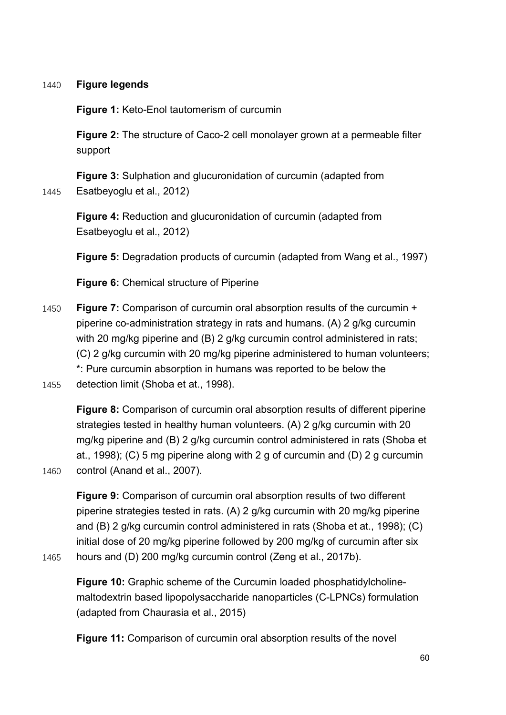#### 1440 **Figure legends**

**Figure 1:** Keto-Enol tautomerism of curcumin

**Figure 2:** The structure of Caco-2 cell monolayer grown at a permeable filter support

**Figure 3:** Sulphation and glucuronidation of curcumin (adapted from 1445 Esatbeyoglu et al., 2012)

**Figure 4:** Reduction and glucuronidation of curcumin (adapted from Esatbeyoglu et al., 2012)

**Figure 5:** Degradation products of curcumin (adapted from Wang et al., 1997)

**Figure 6:** Chemical structure of Piperine

- 1450 **Figure 7:** Comparison of curcumin oral absorption results of the curcumin + piperine co-administration strategy in rats and humans. (A) 2 g/kg curcumin with 20 mg/kg piperine and (B) 2 g/kg curcumin control administered in rats; (C) 2 g/kg curcumin with 20 mg/kg piperine administered to human volunteers; \*: Pure curcumin absorption in humans was reported to be below the
- 1455 detection limit (Shoba et at., 1998).

**Figure 8:** Comparison of curcumin oral absorption results of different piperine strategies tested in healthy human volunteers. (A) 2 g/kg curcumin with 20 mg/kg piperine and (B) 2 g/kg curcumin control administered in rats (Shoba et at., 1998); (C) 5 mg piperine along with 2 g of curcumin and (D) 2 g curcumin 1460 control (Anand et al., 2007).

- **Figure 9:** Comparison of curcumin oral absorption results of two different piperine strategies tested in rats. (A) 2 g/kg curcumin with 20 mg/kg piperine and (B) 2 g/kg curcumin control administered in rats (Shoba et at., 1998); (C) initial dose of 20 mg/kg piperine followed by 200 mg/kg of curcumin after six 1465 hours and (D) 200 mg/kg curcumin control (Zeng et al., 2017b).
- 

**Figure 10:** Graphic scheme of the Curcumin loaded phosphatidylcholinemaltodextrin based lipopolysaccharide nanoparticles (C-LPNCs) formulation (adapted from Chaurasia et al., 2015)

**Figure 11:** Comparison of curcumin oral absorption results of the novel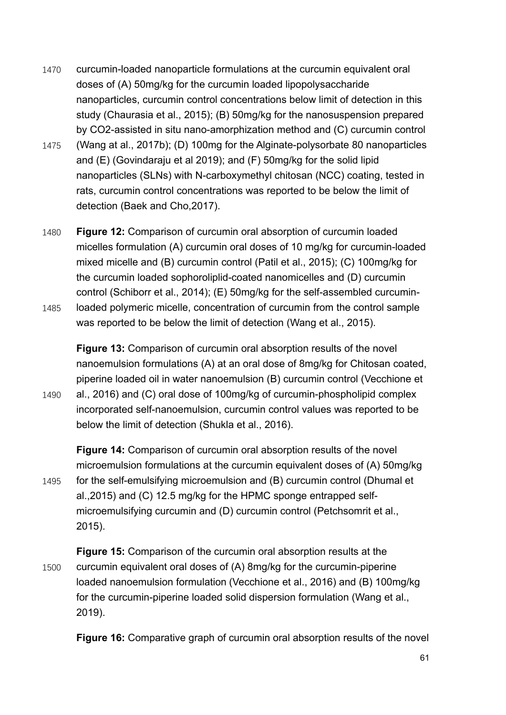- 1470 curcumin-loaded nanoparticle formulations at the curcumin equivalent oral doses of (A) 50mg/kg for the curcumin loaded lipopolysaccharide nanoparticles, curcumin control concentrations below limit of detection in this study (Chaurasia et al., 2015); (B) 50mg/kg for the nanosuspension prepared by CO2-assisted in situ nano-amorphization method and (C) curcumin control
- 1475 (Wang at al., 2017b); (D) 100mg for the Alginate-polysorbate 80 nanoparticles and (E) (Govindaraju et al 2019); and (F) 50mg/kg for the solid lipid nanoparticles (SLNs) with N-carboxymethyl chitosan (NCC) coating, tested in rats, curcumin control concentrations was reported to be below the limit of detection (Baek and Cho,2017).
- 1480 **Figure 12:** Comparison of curcumin oral absorption of curcumin loaded micelles formulation (A) curcumin oral doses of 10 mg/kg for curcumin-loaded mixed micelle and (B) curcumin control (Patil et al., 2015); (C) 100mg/kg for the curcumin loaded sophoroliplid-coated nanomicelles and (D) curcumin control (Schiborr et al., 2014); (E) 50mg/kg for the self-assembled curcumin-1485 loaded polymeric micelle, concentration of curcumin from the control sample was reported to be below the limit of detection (Wang et al., 2015).

**Figure 13:** Comparison of curcumin oral absorption results of the novel nanoemulsion formulations (A) at an oral dose of 8mg/kg for Chitosan coated, piperine loaded oil in water nanoemulsion (B) curcumin control (Vecchione et 1490 al., 2016) and (C) oral dose of 100mg/kg of curcumin-phospholipid complex

incorporated self-nanoemulsion, curcumin control values was reported to be below the limit of detection (Shukla et al., 2016).

**Figure 14:** Comparison of curcumin oral absorption results of the novel microemulsion formulations at the curcumin equivalent doses of (A) 50mg/kg 1495 for the self-emulsifying microemulsion and (B) curcumin control (Dhumal et al.,2015) and (C) 12.5 mg/kg for the HPMC sponge entrapped selfmicroemulsifying curcumin and (D) curcumin control (Petchsomrit et al., 2015).

**Figure 15:** Comparison of the curcumin oral absorption results at the 1500 curcumin equivalent oral doses of (A) 8mg/kg for the curcumin-piperine loaded nanoemulsion formulation (Vecchione et al., 2016) and (B) 100mg/kg for the curcumin-piperine loaded solid dispersion formulation (Wang et al., 2019).

**Figure 16:** Comparative graph of curcumin oral absorption results of the novel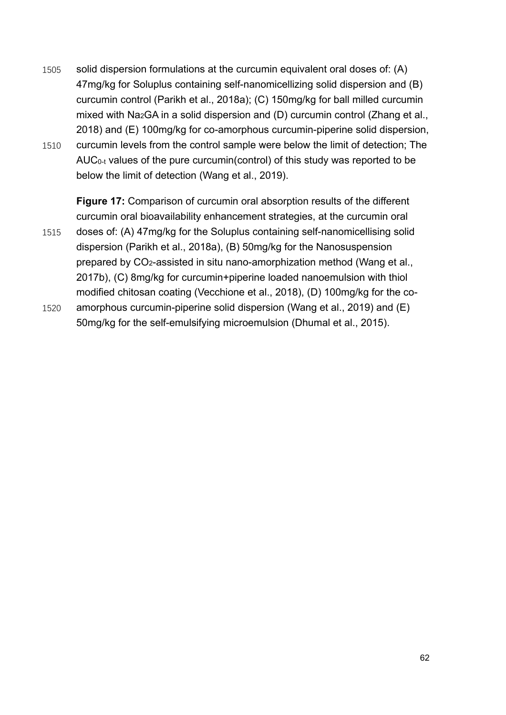- 1505 solid dispersion formulations at the curcumin equivalent oral doses of: (A) 47mg/kg for Soluplus containing self-nanomicellizing solid dispersion and (B) curcumin control (Parikh et al., 2018a); (C) 150mg/kg for ball milled curcumin mixed with Na<sub>2</sub>GA in a solid dispersion and (D) curcumin control (Zhang et al., 2018) and (E) 100mg/kg for co-amorphous curcumin-piperine solid dispersion, 1510 curcumin levels from the control sample were below the limit of detection; The
- AUC0-t values of the pure curcumin(control) of this study was reported to be below the limit of detection (Wang et al., 2019).

**Figure 17:** Comparison of curcumin oral absorption results of the different curcumin oral bioavailability enhancement strategies, at the curcumin oral 1515 doses of: (A) 47mg/kg for the Soluplus containing self-nanomicellising solid dispersion (Parikh et al., 2018a), (B) 50mg/kg for the Nanosuspension prepared by CO2-assisted in situ nano-amorphization method (Wang et al., 2017b), (C) 8mg/kg for curcumin+piperine loaded nanoemulsion with thiol modified chitosan coating (Vecchione et al., 2018), (D) 100mg/kg for the co-1520 amorphous curcumin-piperine solid dispersion (Wang et al., 2019) and (E)

50mg/kg for the self-emulsifying microemulsion (Dhumal et al., 2015).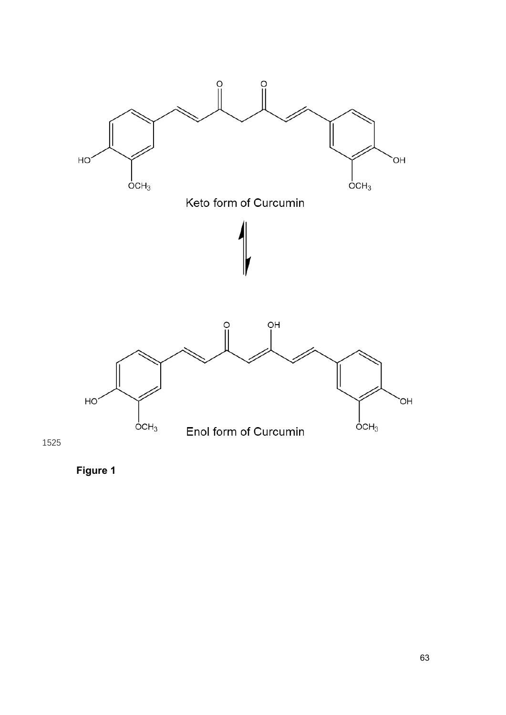



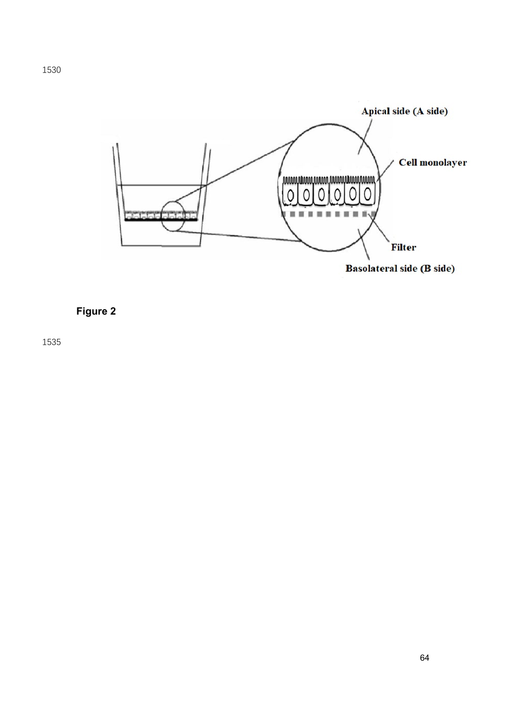

## **Figure 2**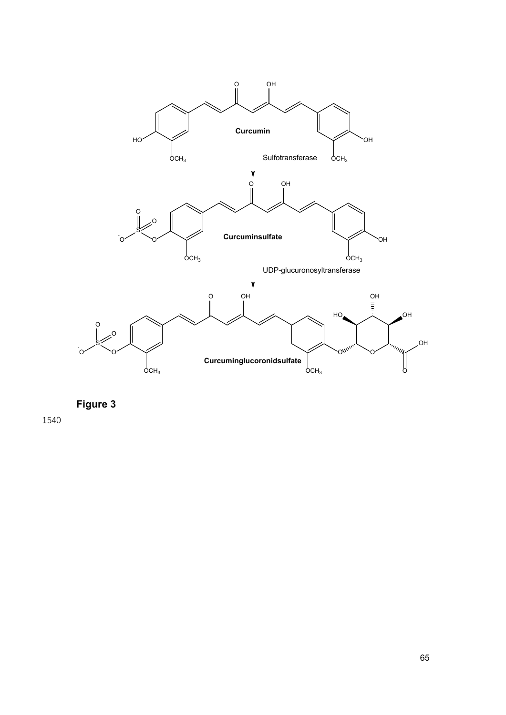

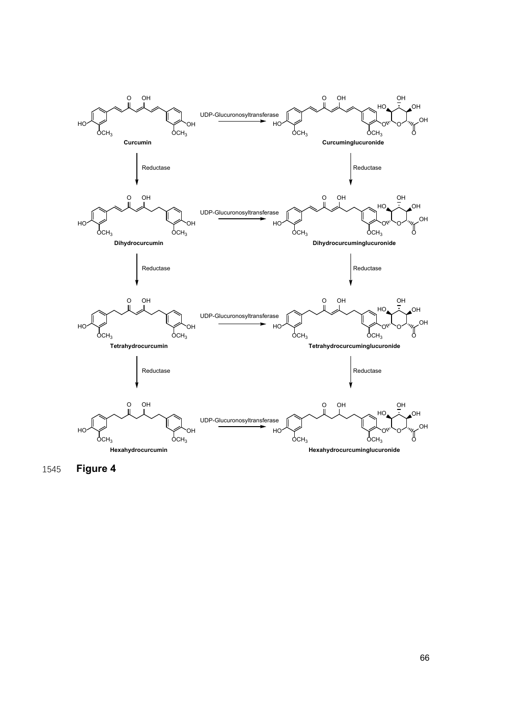

1545 **Figure 4**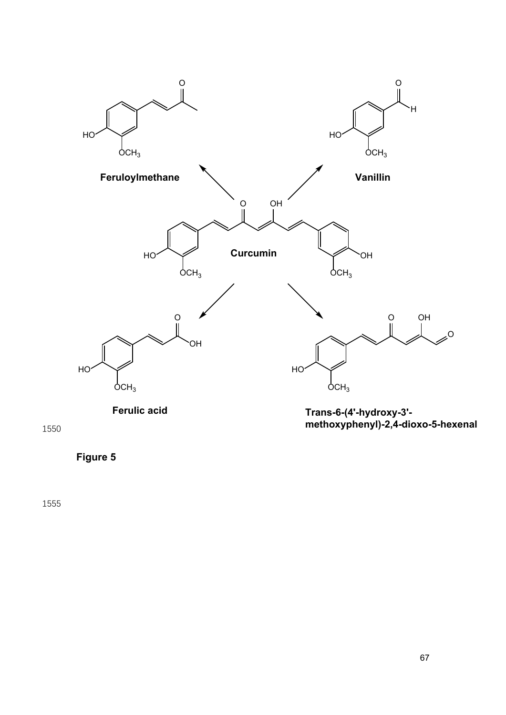



**Figure 5**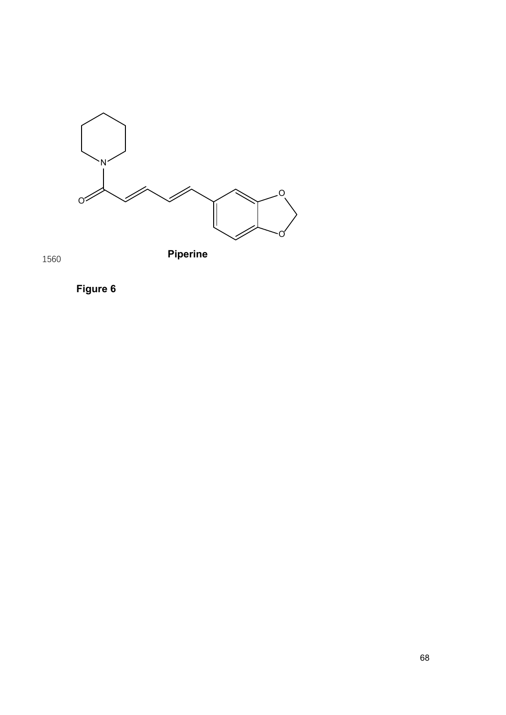





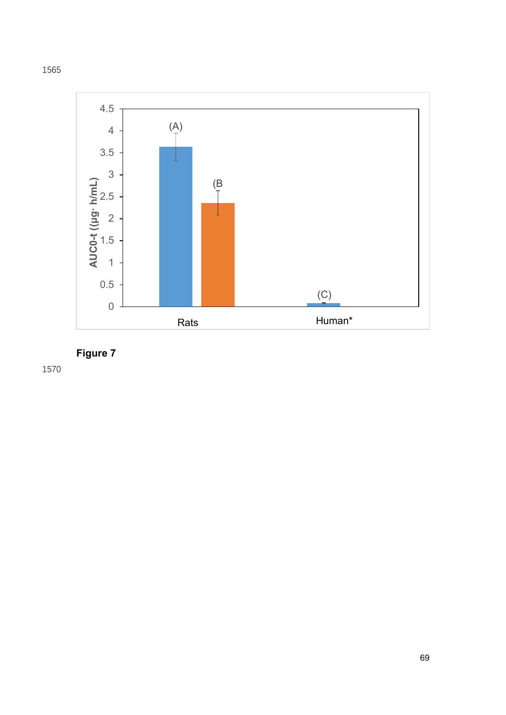



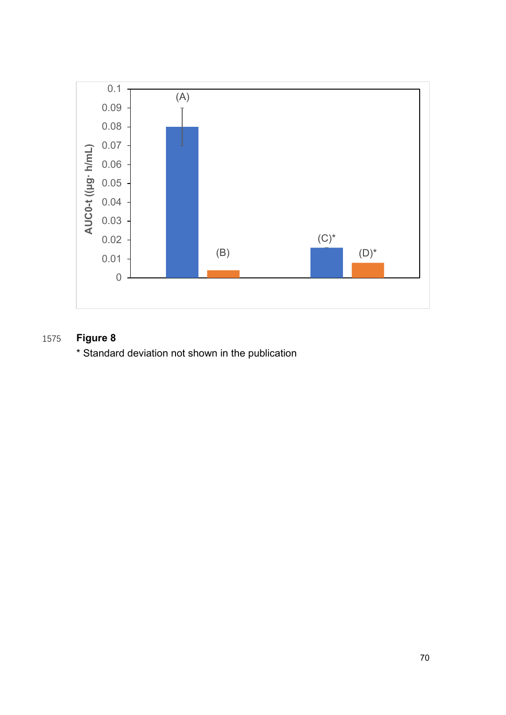

# 1575 **Figure 8**

\* Standard deviation not shown in the publication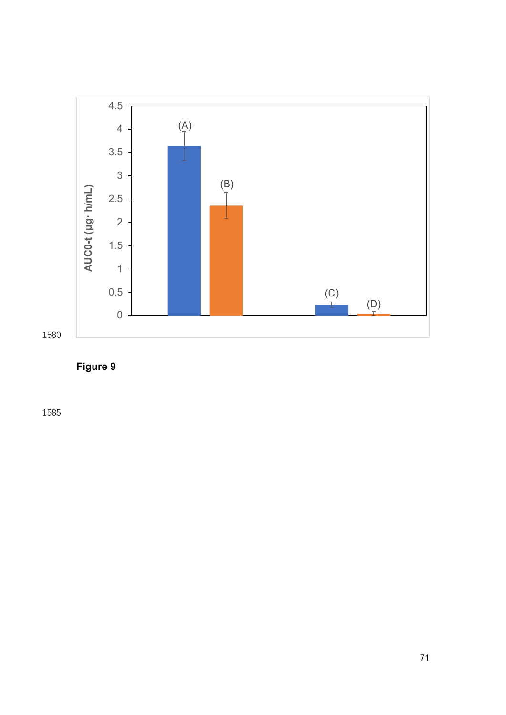

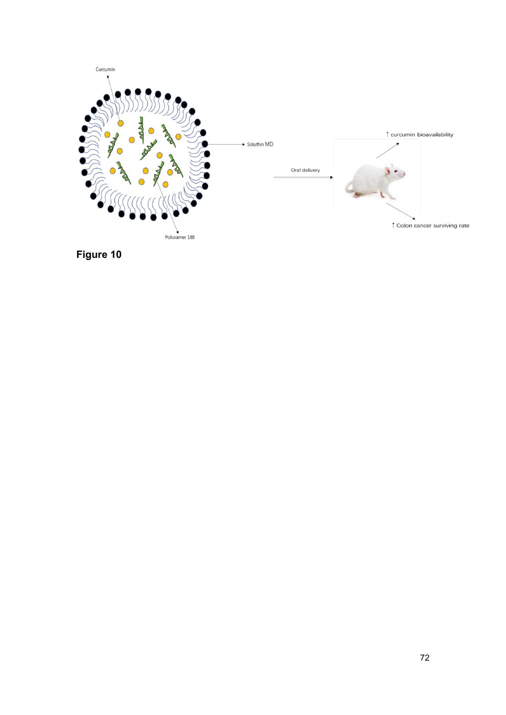

**Figure 10**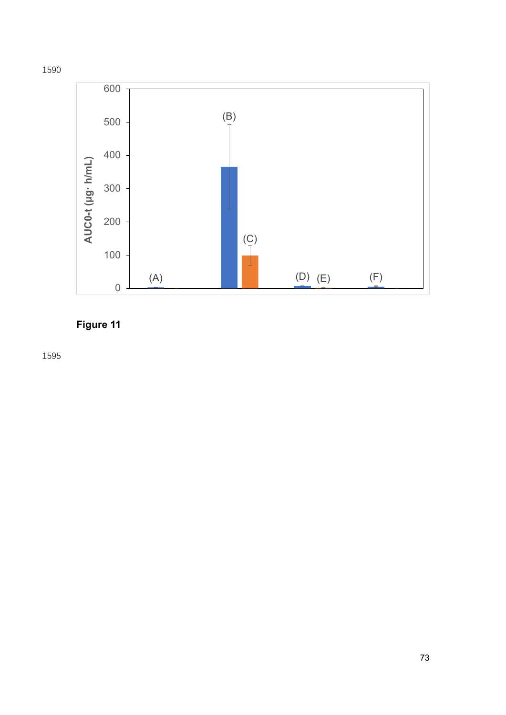



## Figure 11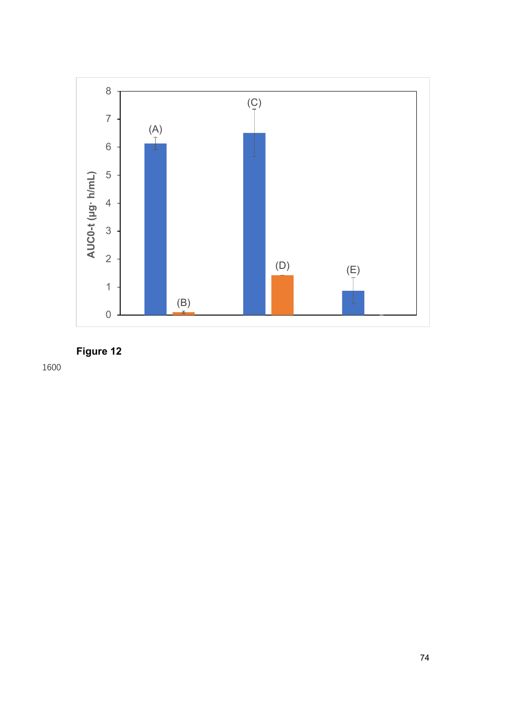

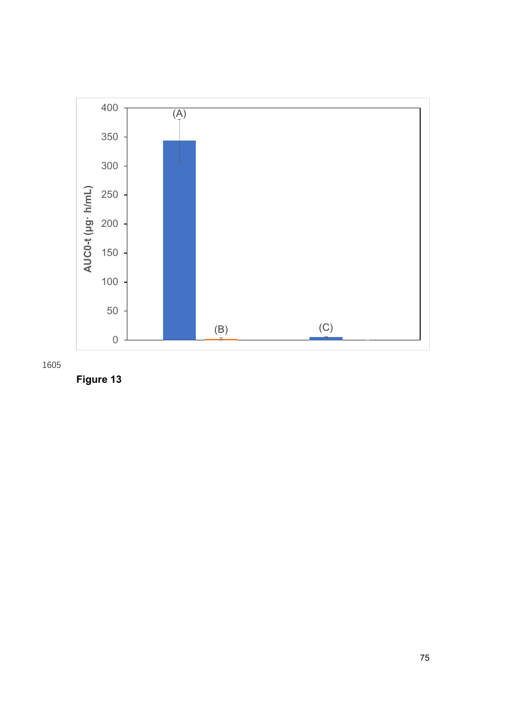



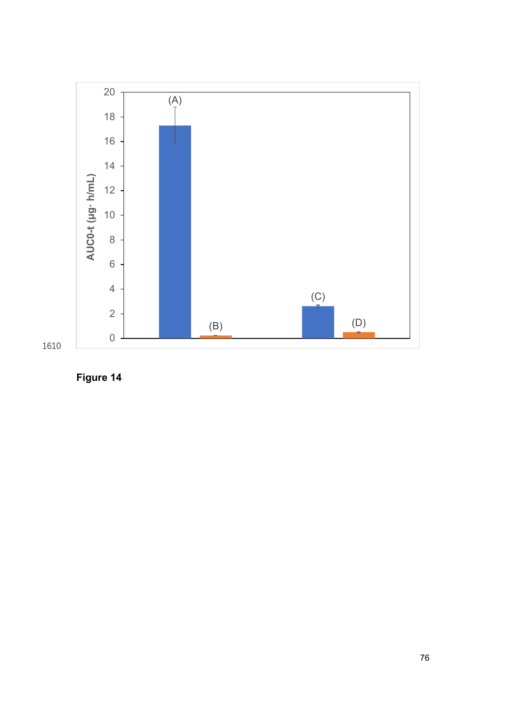

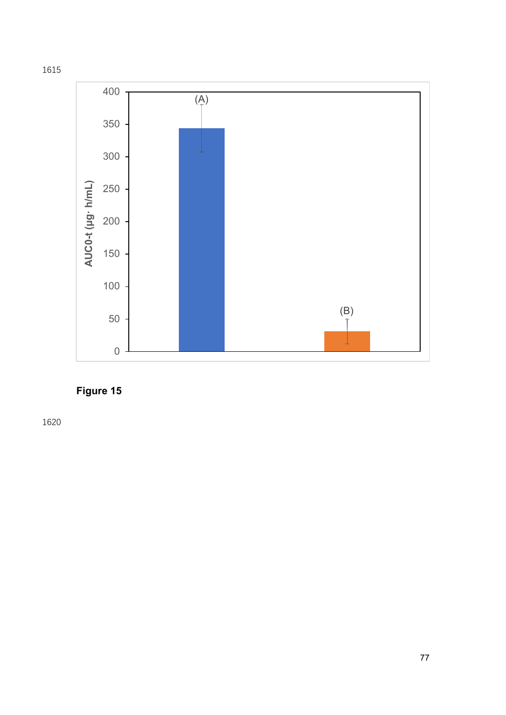



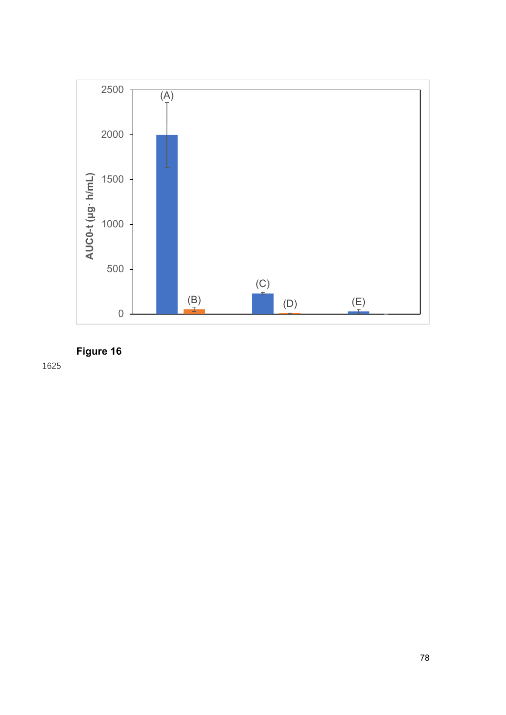